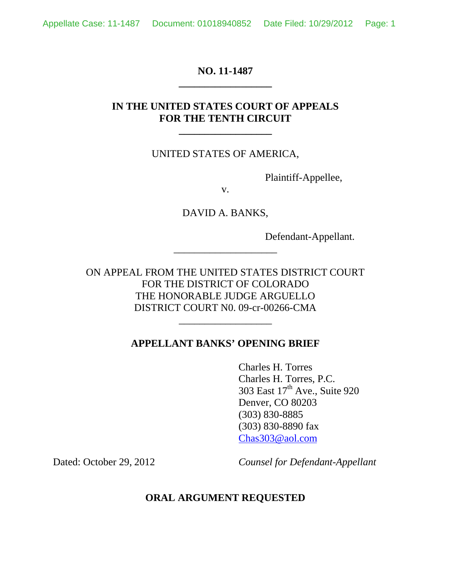### **NO. 11-1487 \_\_\_\_\_\_\_\_\_\_\_\_\_\_\_\_\_\_**

## **IN THE UNITED STATES COURT OF APPEALS FOR THE TENTH CIRCUIT**

**\_\_\_\_\_\_\_\_\_\_\_\_\_\_\_\_\_\_**

#### UNITED STATES OF AMERICA,

Plaintiff-Appellee,

v.

DAVID A. BANKS,

\_\_\_\_\_\_\_\_\_\_\_\_\_\_\_\_\_\_\_\_

Defendant-Appellant.

ON APPEAL FROM THE UNITED STATES DISTRICT COURT FOR THE DISTRICT OF COLORADO THE HONORABLE JUDGE ARGUELLO DISTRICT COURT N0. 09-cr-00266-CMA

### **APPELLANT BANKS' OPENING BRIEF**

\_\_\_\_\_\_\_\_\_\_\_\_\_\_\_\_\_\_

Charles H. Torres Charles H. Torres, P.C. 303 East 17<sup>th</sup> Ave., Suite 920 Denver, CO 80203 (303) 830-8885 (303) 830-8890 fax Chas303@aol.com

Dated: October 29, 2012 *Counsel for Defendant-Appellant*

#### **ORAL ARGUMENT REQUESTED**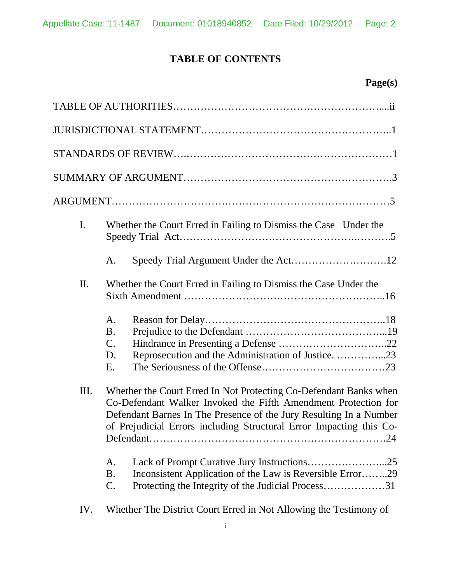# **TABLE OF CONTENTS**

# **Page(s)**

| I.  | Whether the Court Erred in Failing to Dismiss the Case Under the                                                                                                                                                                                                                 |
|-----|----------------------------------------------------------------------------------------------------------------------------------------------------------------------------------------------------------------------------------------------------------------------------------|
|     | A.                                                                                                                                                                                                                                                                               |
| Π.  | Whether the Court Erred in Failing to Dismiss the Case Under the                                                                                                                                                                                                                 |
|     | A.<br><b>B.</b><br>$\mathbf{C}$ .<br>Reprosecution and the Administration of Justice. 23<br>D.<br>E.                                                                                                                                                                             |
| Ш.  | Whether the Court Erred In Not Protecting Co-Defendant Banks when<br>Co-Defendant Walker Invoked the Fifth Amendment Protection for<br>Defendant Barnes In The Presence of the Jury Resulting In a Number<br>of Prejudicial Errors including Structural Error Impacting this Co- |
|     | A.<br>Inconsistent Application of the Law is Reversible Error29<br><b>B.</b><br>Protecting the Integrity of the Judicial Process31<br>$\mathcal{C}$ .                                                                                                                            |
| IV. | Whether The District Court Erred in Not Allowing the Testimony of                                                                                                                                                                                                                |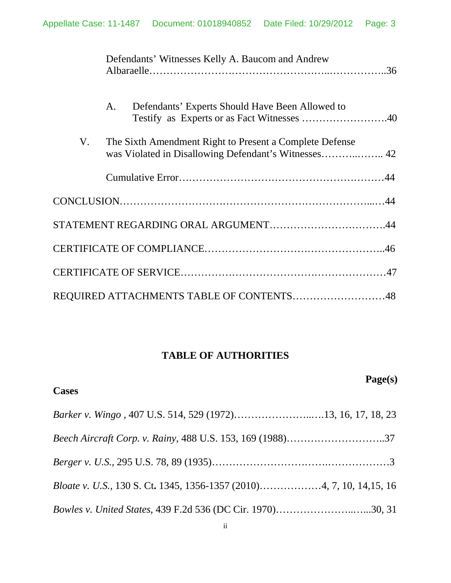|    | Defendants' Witnesses Kelly A. Baucom and Andrew        |  |
|----|---------------------------------------------------------|--|
|    | Defendants' Experts Should Have Been Allowed to<br>A.   |  |
| V. | The Sixth Amendment Right to Present a Complete Defense |  |
|    |                                                         |  |
|    |                                                         |  |
|    | STATEMENT REGARDING ORAL ARGUMENT44                     |  |
|    |                                                         |  |
|    |                                                         |  |
|    | REQUIRED ATTACHMENTS TABLE OF CONTENTS48                |  |

# **TABLE OF AUTHORITIES**

**Page(s)**

| <b>Cases</b>                                                      |
|-------------------------------------------------------------------|
| Barker v. Wingo, 407 U.S. 514, 529 (1972)13, 16, 17, 18, 23       |
|                                                                   |
|                                                                   |
|                                                                   |
| <i>Bowles v. United States, 439 F.2d 536 (DC Cir. 1970)30, 31</i> |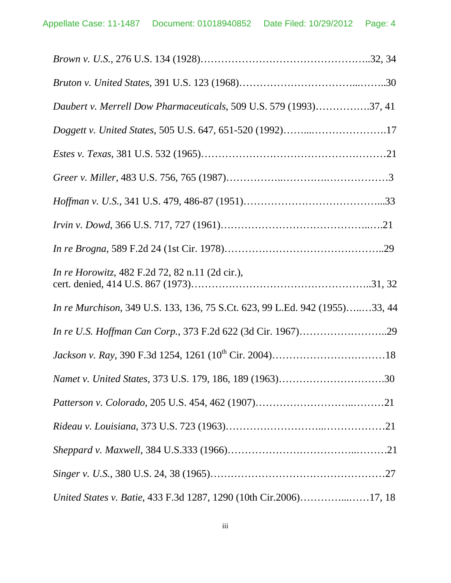| Daubert v. Merrell Dow Pharmaceuticals, 509 U.S. 579 (1993)37, 41           |  |
|-----------------------------------------------------------------------------|--|
| Doggett v. United States, 505 U.S. 647, 651-520 (1992)17                    |  |
|                                                                             |  |
|                                                                             |  |
|                                                                             |  |
|                                                                             |  |
|                                                                             |  |
| <i>In re Horowitz</i> , 482 F.2d 72, 82 n.11 (2d cir.),                     |  |
| In re Murchison, 349 U.S. 133, 136, 75 S.Ct. 623, 99 L.Ed. 942 (1955)33, 44 |  |
| In re U.S. Hoffman Can Corp., 373 F.2d 622 (3d Cir. 1967)29                 |  |
|                                                                             |  |
| Namet v. United States, 373 U.S. 179, 186, 189 (1963)30                     |  |
|                                                                             |  |
|                                                                             |  |
|                                                                             |  |
|                                                                             |  |
| United States v. Batie, 433 F.3d 1287, 1290 (10th Cir.2006)17, 18           |  |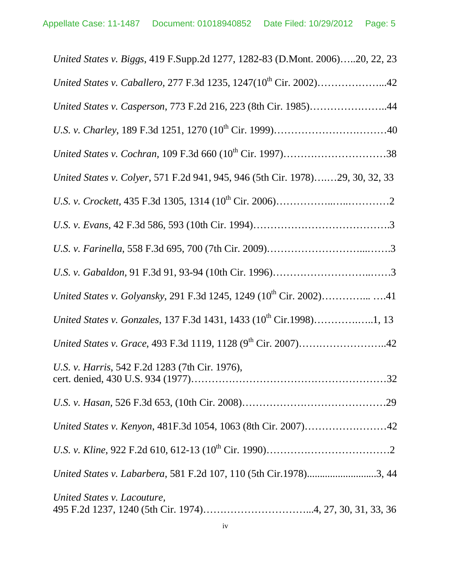| United States v. Biggs, 419 F.Supp.2d 1277, 1282-83 (D.Mont. 2006)20, 22, 23  |
|-------------------------------------------------------------------------------|
| United States v. Caballero, 277 F.3d 1235, 1247(10 <sup>th</sup> Cir. 2002)42 |
| United States v. Casperson, 773 F.2d 216, 223 (8th Cir. 1985)44               |
|                                                                               |
|                                                                               |
| United States v. Colyer, 571 F.2d 941, 945, 946 (5th Cir. 1978)29, 30, 32, 33 |
|                                                                               |
|                                                                               |
|                                                                               |
|                                                                               |
|                                                                               |
|                                                                               |
|                                                                               |
| U.S. v. Harris, 542 F.2d 1283 (7th Cir. 1976),                                |
|                                                                               |
| United States v. Kenyon, 481F.3d 1054, 1063 (8th Cir. 2007)42                 |
|                                                                               |
| United States v. Labarbera, 581 F.2d 107, 110 (5th Cir.1978)3, 44             |
| United States v. Lacouture,                                                   |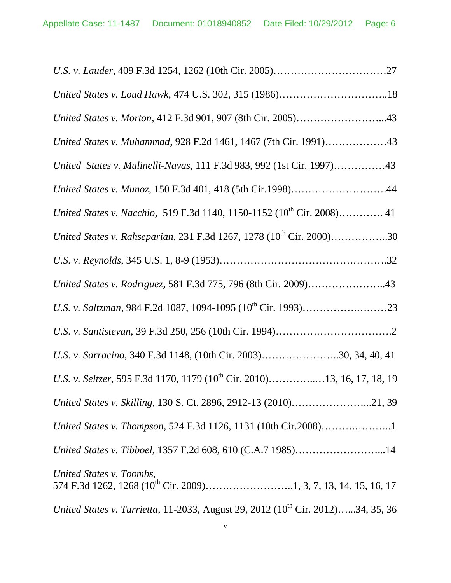| United States v. Morton, 412 F.3d 901, 907 (8th Cir. 2005)43                                |
|---------------------------------------------------------------------------------------------|
| United States v. Muhammad, 928 F.2d 1461, 1467 (7th Cir. 1991)43                            |
| United States v. Mulinelli-Navas, 111 F.3d 983, 992 (1st Cir. 1997)43                       |
| United States v. Munoz, 150 F.3d 401, 418 (5th Cir.1998)44                                  |
| United States v. Nacchio, 519 F.3d 1140, 1150-1152 (10 <sup>th</sup> Cir. 2008) 41          |
| United States v. Rahseparian, 231 F.3d 1267, 1278 (10 <sup>th</sup> Cir. 2000)30            |
|                                                                                             |
| United States v. Rodriguez, 581 F.3d 775, 796 (8th Cir. 2009)43                             |
|                                                                                             |
|                                                                                             |
| U.S. v. Sarracino, 340 F.3d 1148, (10th Cir. 2003)30, 34, 40, 41                            |
| U.S. v. Seltzer, 595 F.3d 1170, 1179 (10 <sup>th</sup> Cir. 2010)13, 16, 17, 18, 19         |
| United States v. Skilling, 130 S. Ct. 2896, 2912-13 (2010)21, 39                            |
| United States v. Thompson, 524 F.3d 1126, 1131 (10th Cir.2008)1                             |
| United States v. Tibboel, 1357 F.2d 608, 610 (C.A.7 1985)14                                 |
| United States v. Toombs,                                                                    |
| United States v. Turrietta, 11-2033, August 29, 2012 (10 <sup>th</sup> Cir. 2012)34, 35, 36 |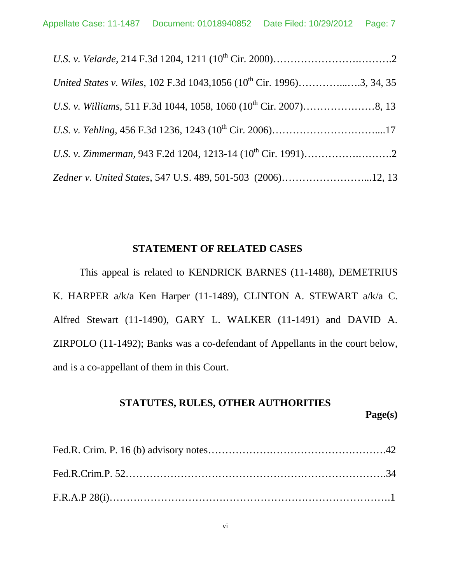| United States v. Wiles, 102 F.3d 1043, 1056 (10 <sup>th</sup> Cir. 1996)3, 34, 35 |  |
|-----------------------------------------------------------------------------------|--|
|                                                                                   |  |
|                                                                                   |  |
|                                                                                   |  |
| Zedner v. United States, 547 U.S. 489, 501-503 (2006)12, 13                       |  |

# **STATEMENT OF RELATED CASES**

This appeal is related to KENDRICK BARNES (11-1488), DEMETRIUS K. HARPER a/k/a Ken Harper (11-1489), CLINTON A. STEWART a/k/a C. Alfred Stewart (11-1490), GARY L. WALKER (11-1491) and DAVID A. ZIRPOLO (11-1492); Banks was a co-defendant of Appellants in the court below, and is a co-appellant of them in this Court.

#### **STATUTES, RULES, OTHER AUTHORITIES**

**Page(s)**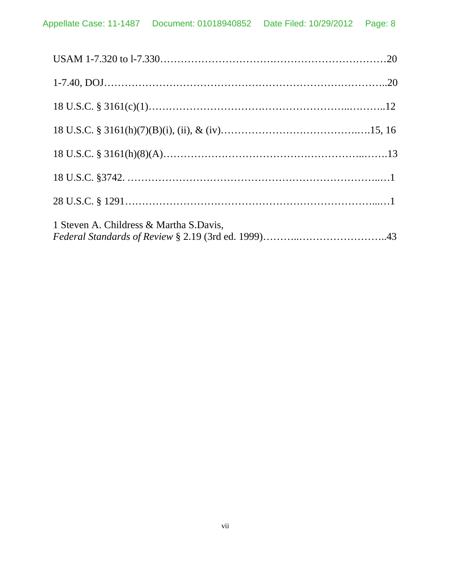| 1 Steven A. Childress & Martha S.Davis, |  |
|-----------------------------------------|--|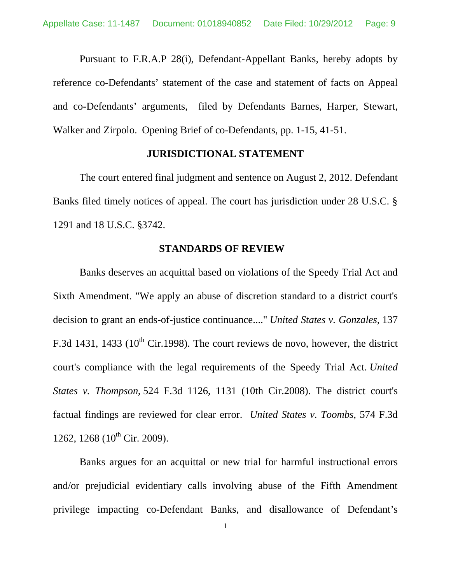Pursuant to F.R.A.P 28(i), Defendant-Appellant Banks, hereby adopts by reference co-Defendants' statement of the case and statement of facts on Appeal and co-Defendants' arguments, filed by Defendants Barnes, Harper, Stewart, Walker and Zirpolo. Opening Brief of co-Defendants, pp. 1-15, 41-51.

#### **JURISDICTIONAL STATEMENT**

The court entered final judgment and sentence on August 2, 2012. Defendant Banks filed timely notices of appeal. The court has jurisdiction under 28 U.S.C. § 1291 and 18 U.S.C. §3742.

### **STANDARDS OF REVIEW**

Banks deserves an acquittal based on violations of the Speedy Trial Act and Sixth Amendment. "We apply an abuse of discretion standard to a district court's decision to grant an ends-of-justice continuance...." *United States v. Gonzales*, 137 F.3d 1431, 1433 ( $10^{th}$  Cir.1998). The court reviews de novo, however, the district court's compliance with the legal requirements of the Speedy Trial Act. *United States v. Thompson*, 524 F.3d 1126, 1131 (10th Cir.2008). The district court's factual findings are reviewed for clear error. *United States v. Toombs,* 574 F.3d 1262, 1268 (10<sup>th</sup> Cir. 2009).

Banks argues for an acquittal or new trial for harmful instructional errors and/or prejudicial evidentiary calls involving abuse of the Fifth Amendment privilege impacting co-Defendant Banks, and disallowance of Defendant's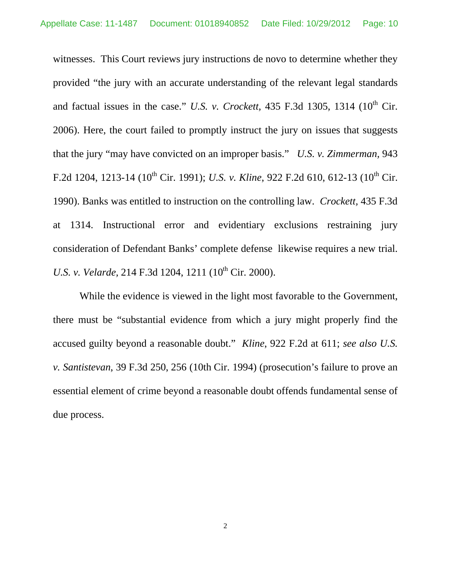witnesses. This Court reviews jury instructions de novo to determine whether they provided "the jury with an accurate understanding of the relevant legal standards and factual issues in the case." *U.S. v. Crockett*, 435 F.3d 1305, 1314 ( $10^{th}$  Cir. 2006). Here, the court failed to promptly instruct the jury on issues that suggests that the jury "may have convicted on an improper basis." *U.S. v. Zimmerman,* 943 F.2d 1204, 1213-14 (10<sup>th</sup> Cir. 1991); *U.S. v. Kline*, 922 F.2d 610, 612-13 (10<sup>th</sup> Cir. 1990). Banks was entitled to instruction on the controlling law. *Crockett,* 435 F.3d at 1314. Instructional error and evidentiary exclusions restraining jury consideration of Defendant Banks' complete defense likewise requires a new trial. *U.S. v. Velarde,* 214 F.3d 1204, 1211 (10<sup>th</sup> Cir. 2000).

While the evidence is viewed in the light most favorable to the Government, there must be "substantial evidence from which a jury might properly find the accused guilty beyond a reasonable doubt." *Kline*, 922 F.2d at 611; *see also U.S. v. Santistevan*, 39 F.3d 250, 256 (10th Cir. 1994) (prosecution's failure to prove an essential element of crime beyond a reasonable doubt offends fundamental sense of due process.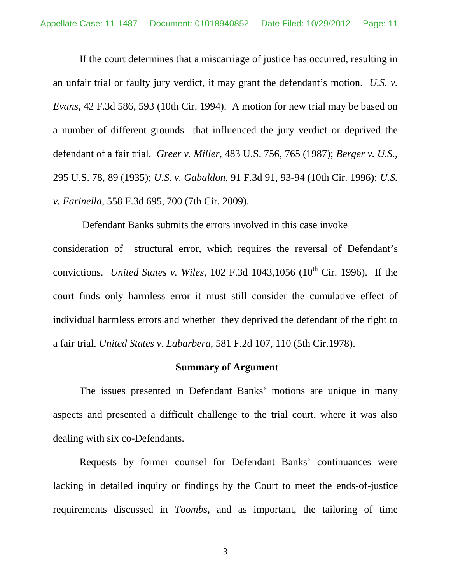If the court determines that a miscarriage of justice has occurred, resulting in an unfair trial or faulty jury verdict, it may grant the defendant's motion. *U.S. v. Evans,* 42 F.3d 586, 593 (10th Cir. 1994). A motion for new trial may be based on a number of different grounds that influenced the jury verdict or deprived the defendant of a fair trial. *Greer v. Miller,* 483 U.S. 756, 765 (1987); *Berger v. U.S.,*  295 U.S. 78, 89 (1935); *U.S. v. Gabaldon,* 91 F.3d 91, 93-94 (10th Cir. 1996); *U.S. v. Farinella*, 558 F.3d 695, 700 (7th Cir. 2009).

Defendant Banks submits the errors involved in this case invoke consideration of structural error, which requires the reversal of Defendant's convictions. *United States v. Wiles*,  $102$  F.3d  $1043,1056$  ( $10<sup>th</sup>$  Cir. 1996). If the court finds only harmless error it must still consider the cumulative effect of individual harmless errors and whether they deprived the defendant of the right to a fair trial. *United States v. Labarbera*, 581 F.2d 107, 110 (5th Cir.1978).

#### **Summary of Argument**

The issues presented in Defendant Banks' motions are unique in many aspects and presented a difficult challenge to the trial court, where it was also dealing with six co-Defendants.

Requests by former counsel for Defendant Banks' continuances were lacking in detailed inquiry or findings by the Court to meet the ends-of-justice requirements discussed in *Toombs,* and as important, the tailoring of time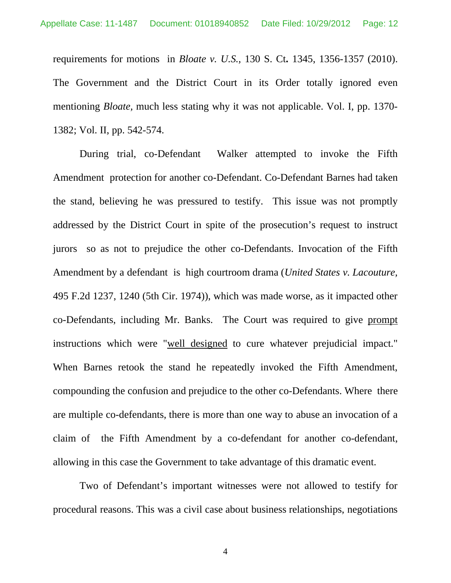requirements for motions in *Bloate v. U.S.,* 130 S. Ct**.** 1345, 1356-1357 (2010). The Government and the District Court in its Order totally ignored even mentioning *Bloate,* much less stating why it was not applicable. Vol. I, pp. 1370- 1382; Vol. II, pp. 542-574.

During trial, co-Defendant Walker attempted to invoke the Fifth Amendment protection for another co-Defendant. Co-Defendant Barnes had taken the stand, believing he was pressured to testify. This issue was not promptly addressed by the District Court in spite of the prosecution's request to instruct jurors so as not to prejudice the other co-Defendants. Invocation of the Fifth Amendment by a defendant is high courtroom drama (*United States v. Lacouture,* 495 F.2d 1237, 1240 (5th Cir. 1974)), which was made worse, as it impacted other co-Defendants, including Mr. Banks. The Court was required to give prompt instructions which were "well designed to cure whatever prejudicial impact." When Barnes retook the stand he repeatedly invoked the Fifth Amendment, compounding the confusion and prejudice to the other co-Defendants. Where there are multiple co-defendants, there is more than one way to abuse an invocation of a claim of the Fifth Amendment by a co-defendant for another co-defendant, allowing in this case the Government to take advantage of this dramatic event.

Two of Defendant's important witnesses were not allowed to testify for procedural reasons. This was a civil case about business relationships, negotiations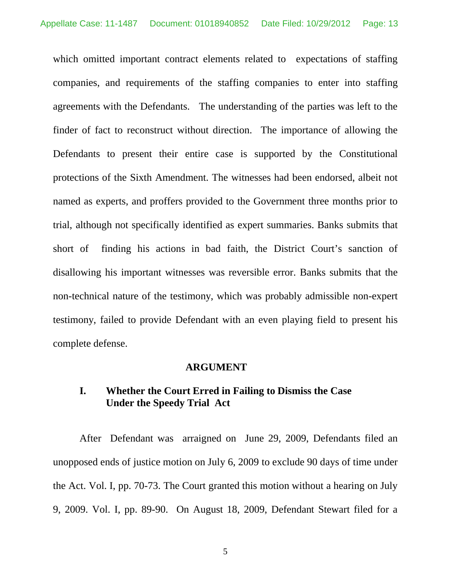which omitted important contract elements related to expectations of staffing companies, and requirements of the staffing companies to enter into staffing agreements with the Defendants. The understanding of the parties was left to the finder of fact to reconstruct without direction. The importance of allowing the Defendants to present their entire case is supported by the Constitutional protections of the Sixth Amendment. The witnesses had been endorsed, albeit not named as experts, and proffers provided to the Government three months prior to trial, although not specifically identified as expert summaries. Banks submits that short of finding his actions in bad faith, the District Court's sanction of disallowing his important witnesses was reversible error. Banks submits that the non-technical nature of the testimony, which was probably admissible non-expert testimony, failed to provide Defendant with an even playing field to present his complete defense.

#### **ARGUMENT**

# **I. Whether the Court Erred in Failing to Dismiss the Case Under the Speedy Trial Act**

After Defendant was arraigned on June 29, 2009, Defendants filed an unopposed ends of justice motion on July 6, 2009 to exclude 90 days of time under the Act. Vol. I, pp. 70-73. The Court granted this motion without a hearing on July 9, 2009. Vol. I, pp. 89-90. On August 18, 2009, Defendant Stewart filed for a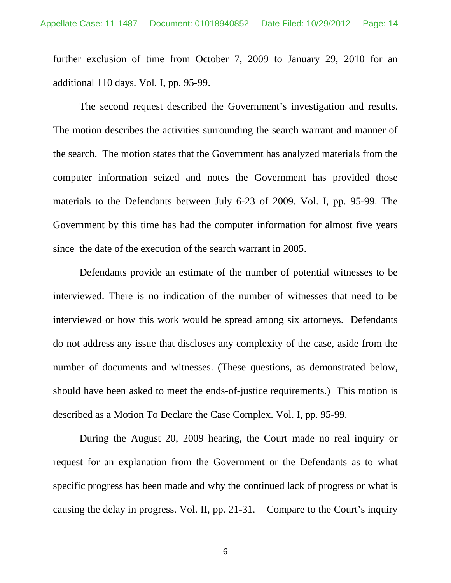further exclusion of time from October 7, 2009 to January 29, 2010 for an additional 110 days. Vol. I, pp. 95-99.

The second request described the Government's investigation and results. The motion describes the activities surrounding the search warrant and manner of the search. The motion states that the Government has analyzed materials from the computer information seized and notes the Government has provided those materials to the Defendants between July 6-23 of 2009. Vol. I, pp. 95-99. The Government by this time has had the computer information for almost five years since the date of the execution of the search warrant in 2005.

Defendants provide an estimate of the number of potential witnesses to be interviewed. There is no indication of the number of witnesses that need to be interviewed or how this work would be spread among six attorneys. Defendants do not address any issue that discloses any complexity of the case, aside from the number of documents and witnesses. (These questions, as demonstrated below, should have been asked to meet the ends-of-justice requirements.) This motion is described as a Motion To Declare the Case Complex. Vol. I, pp. 95-99.

During the August 20, 2009 hearing, the Court made no real inquiry or request for an explanation from the Government or the Defendants as to what specific progress has been made and why the continued lack of progress or what is causing the delay in progress. Vol. II, pp. 21-31. Compare to the Court's inquiry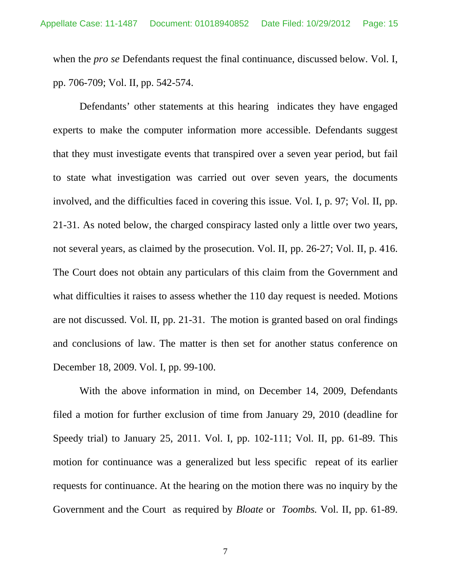when the *pro se* Defendants request the final continuance, discussed below. Vol. I, pp. 706-709; Vol. II, pp. 542-574.

Defendants' other statements at this hearing indicates they have engaged experts to make the computer information more accessible. Defendants suggest that they must investigate events that transpired over a seven year period, but fail to state what investigation was carried out over seven years, the documents involved, and the difficulties faced in covering this issue. Vol. I, p. 97; Vol. II, pp. 21-31. As noted below, the charged conspiracy lasted only a little over two years, not several years, as claimed by the prosecution. Vol. II, pp. 26-27; Vol. II, p. 416. The Court does not obtain any particulars of this claim from the Government and what difficulties it raises to assess whether the 110 day request is needed. Motions are not discussed. Vol. II, pp. 21-31. The motion is granted based on oral findings and conclusions of law. The matter is then set for another status conference on December 18, 2009. Vol. I, pp. 99-100.

With the above information in mind, on December 14, 2009, Defendants filed a motion for further exclusion of time from January 29, 2010 (deadline for Speedy trial) to January 25, 2011. Vol. I, pp. 102-111; Vol. II, pp. 61-89. This motion for continuance was a generalized but less specific repeat of its earlier requests for continuance. At the hearing on the motion there was no inquiry by the Government and the Court as required by *Bloate* or *Toombs.* Vol. II, pp. 61-89.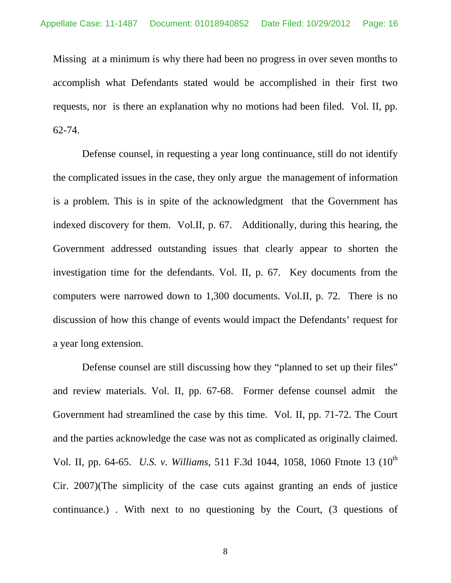Missing at a minimum is why there had been no progress in over seven months to accomplish what Defendants stated would be accomplished in their first two requests, nor is there an explanation why no motions had been filed. Vol. II, pp. 62-74.

 Defense counsel, in requesting a year long continuance, still do not identify the complicated issues in the case, they only argue the management of information is a problem. This is in spite of the acknowledgment that the Government has indexed discovery for them. Vol.II, p. 67. Additionally, during this hearing, the Government addressed outstanding issues that clearly appear to shorten the investigation time for the defendants. Vol. II, p. 67. Key documents from the computers were narrowed down to 1,300 documents. Vol.II, p. 72. There is no discussion of how this change of events would impact the Defendants' request for a year long extension.

Defense counsel are still discussing how they "planned to set up their files" and review materials. Vol. II, pp. 67-68. Former defense counsel admit the Government had streamlined the case by this time. Vol. II, pp. 71-72. The Court and the parties acknowledge the case was not as complicated as originally claimed. Vol. II, pp. 64-65. *U.S. v. Williams,* 511 F.3d 1044, 1058, 1060 Ftnote 13 (10th Cir. 2007)(The simplicity of the case cuts against granting an ends of justice continuance.) . With next to no questioning by the Court, (3 questions of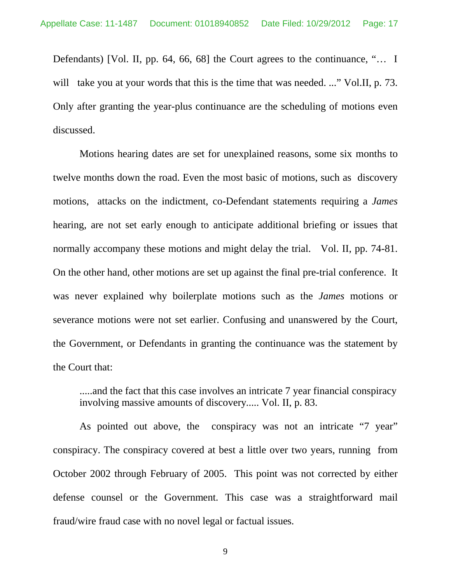Defendants) [Vol. II, pp. 64, 66, 68] the Court agrees to the continuance, "… I will take you at your words that this is the time that was needed. ..." Vol.II, p. 73. Only after granting the year-plus continuance are the scheduling of motions even discussed.

Motions hearing dates are set for unexplained reasons, some six months to twelve months down the road. Even the most basic of motions, such as discovery motions, attacks on the indictment, co-Defendant statements requiring a *James* hearing, are not set early enough to anticipate additional briefing or issues that normally accompany these motions and might delay the trial. Vol. II, pp. 74-81. On the other hand, other motions are set up against the final pre-trial conference. It was never explained why boilerplate motions such as the *James* motions or severance motions were not set earlier. Confusing and unanswered by the Court, the Government, or Defendants in granting the continuance was the statement by the Court that:

.....and the fact that this case involves an intricate 7 year financial conspiracy involving massive amounts of discovery..... Vol. II, p. 83.

As pointed out above, the conspiracy was not an intricate "7 year" conspiracy. The conspiracy covered at best a little over two years, running from October 2002 through February of 2005. This point was not corrected by either defense counsel or the Government. This case was a straightforward mail fraud/wire fraud case with no novel legal or factual issues.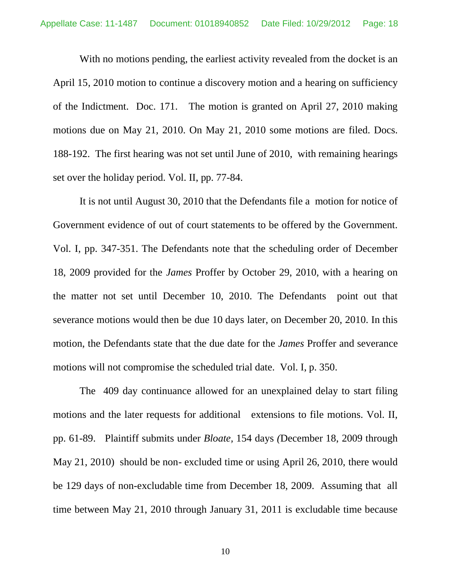With no motions pending, the earliest activity revealed from the docket is an April 15, 2010 motion to continue a discovery motion and a hearing on sufficiency of the Indictment. Doc. 171. The motion is granted on April 27, 2010 making motions due on May 21, 2010. On May 21, 2010 some motions are filed. Docs. 188-192. The first hearing was not set until June of 2010, with remaining hearings set over the holiday period. Vol. II, pp. 77-84.

It is not until August 30, 2010 that the Defendants file a motion for notice of Government evidence of out of court statements to be offered by the Government. Vol. I, pp. 347-351. The Defendants note that the scheduling order of December 18, 2009 provided for the *James* Proffer by October 29, 2010, with a hearing on the matter not set until December 10, 2010. The Defendants point out that severance motions would then be due 10 days later, on December 20, 2010. In this motion, the Defendants state that the due date for the *James* Proffer and severance motions will not compromise the scheduled trial date. Vol. I, p. 350.

The 409 day continuance allowed for an unexplained delay to start filing motions and the later requests for additional extensions to file motions. Vol. II, pp. 61-89. Plaintiff submits under *Bloate,* 154 days *(*December 18, 2009 through May 21, 2010) should be non- excluded time or using April 26, 2010, there would be 129 days of non-excludable time from December 18, 2009. Assuming that all time between May 21, 2010 through January 31, 2011 is excludable time because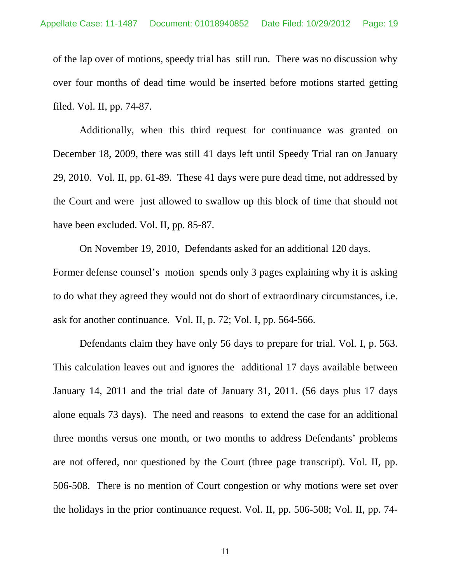of the lap over of motions, speedy trial has still run. There was no discussion why over four months of dead time would be inserted before motions started getting filed. Vol. II, pp. 74-87.

Additionally, when this third request for continuance was granted on December 18, 2009, there was still 41 days left until Speedy Trial ran on January 29, 2010. Vol. II, pp. 61-89. These 41 days were pure dead time, not addressed by the Court and were just allowed to swallow up this block of time that should not have been excluded. Vol. II, pp. 85-87.

On November 19, 2010, Defendants asked for an additional 120 days. Former defense counsel's motion spends only 3 pages explaining why it is asking to do what they agreed they would not do short of extraordinary circumstances, i.e. ask for another continuance. Vol. II, p. 72; Vol. I, pp. 564-566.

Defendants claim they have only 56 days to prepare for trial. Vol. I, p. 563. This calculation leaves out and ignores the additional 17 days available between January 14, 2011 and the trial date of January 31, 2011. (56 days plus 17 days alone equals 73 days). The need and reasons to extend the case for an additional three months versus one month, or two months to address Defendants' problems are not offered, nor questioned by the Court (three page transcript). Vol. II, pp. 506-508. There is no mention of Court congestion or why motions were set over the holidays in the prior continuance request. Vol. II, pp. 506-508; Vol. II, pp. 74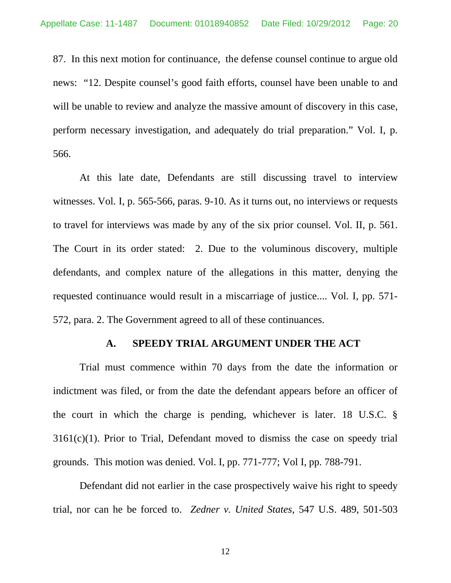87. In this next motion for continuance, the defense counsel continue to argue old news: "12. Despite counsel's good faith efforts, counsel have been unable to and will be unable to review and analyze the massive amount of discovery in this case, perform necessary investigation, and adequately do trial preparation." Vol. I, p. 566.

At this late date, Defendants are still discussing travel to interview witnesses. Vol. I, p. 565-566, paras. 9-10. As it turns out, no interviews or requests to travel for interviews was made by any of the six prior counsel. Vol. II, p. 561. The Court in its order stated: 2. Due to the voluminous discovery, multiple defendants, and complex nature of the allegations in this matter, denying the requested continuance would result in a miscarriage of justice.... Vol. I, pp. 571- 572, para. 2. The Government agreed to all of these continuances.

#### **A. SPEEDY TRIAL ARGUMENT UNDER THE ACT**

Trial must commence within 70 days from the date the information or indictment was filed, or from the date the defendant appears before an officer of the court in which the charge is pending, whichever is later. 18 U.S.C. § 3161(c)(1). Prior to Trial, Defendant moved to dismiss the case on speedy trial grounds. This motion was denied. Vol. I, pp. 771-777; Vol I, pp. 788-791.

Defendant did not earlier in the case prospectively waive his right to speedy trial, nor can he be forced to. *Zedner v. United States*, 547 U.S. 489, 501-503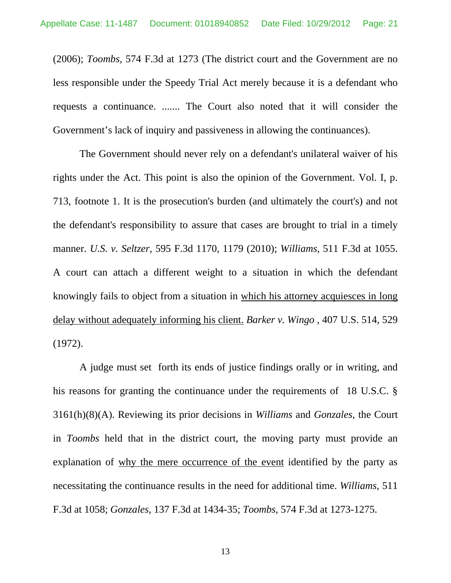(2006); *Toombs,* 574 F.3d at 1273 (The district court and the Government are no less responsible under the Speedy Trial Act merely because it is a defendant who requests a continuance. ....... The Court also noted that it will consider the Government's lack of inquiry and passiveness in allowing the continuances).

The Government should never rely on a defendant's unilateral waiver of his rights under the Act. This point is also the opinion of the Government. Vol. I, p. 713, footnote 1. It is the prosecution's burden (and ultimately the court's) and not the defendant's responsibility to assure that cases are brought to trial in a timely manner. *U.S. v. Seltzer*, 595 F.3d 1170, 1179 (2010); *Williams,* 511 F.3d at 1055. A court can attach a different weight to a situation in which the defendant knowingly fails to object from a situation in which his attorney acquiesces in long delay without adequately informing his client. *Barker v. Wingo ,* 407 U.S. 514, 529 (1972).

A judge must set forth its ends of justice findings orally or in writing, and his reasons for granting the continuance under the requirements of 18 U.S.C. § 3161(h)(8)(A). Reviewing its prior decisions in *Williams* and *Gonzales*, the Court in *Toombs* held that in the district court, the moving party must provide an explanation of why the mere occurrence of the event identified by the party as necessitating the continuance results in the need for additional time. *Williams*, 511 F.3d at 1058; *Gonzales*, 137 F.3d at 1434-35; *Toombs,* 574 F.3d at 1273-1275.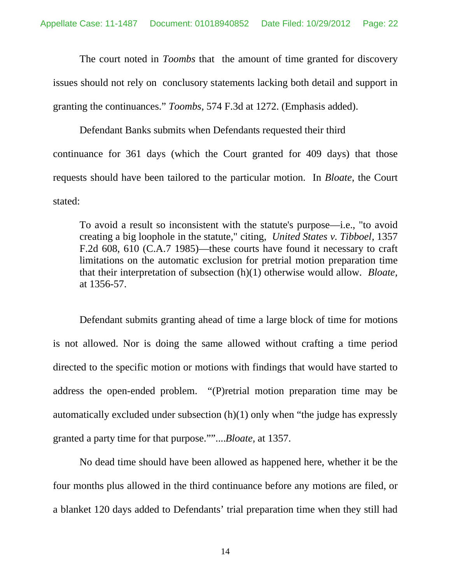The court noted in *Toombs* that the amount of time granted for discovery issues should not rely on conclusory statements lacking both detail and support in granting the continuances." *Toombs,* 574 F.3d at 1272. (Emphasis added).

Defendant Banks submits when Defendants requested their third continuance for 361 days (which the Court granted for 409 days) that those requests should have been tailored to the particular motion. In *Bloate*, the Court stated:

To avoid a result so inconsistent with the statute's purpose—i.e., "to avoid creating a big loophole in the statute," citing, *United States v. Tibboel*, 1357 F.2d 608, 610 (C.A.7 1985)—these courts have found it necessary to craft limitations on the automatic exclusion for pretrial motion preparation time that their interpretation of subsection (h)(1) otherwise would allow. *Bloate,*  at 1356-57.

Defendant submits granting ahead of time a large block of time for motions is not allowed. Nor is doing the same allowed without crafting a time period directed to the specific motion or motions with findings that would have started to address the open-ended problem. "(P)retrial motion preparation time may be automatically excluded under subsection (h)(1) only when "the judge has expressly granted a party time for that purpose.""....*Bloate,* at 1357.

No dead time should have been allowed as happened here, whether it be the four months plus allowed in the third continuance before any motions are filed, or a blanket 120 days added to Defendants' trial preparation time when they still had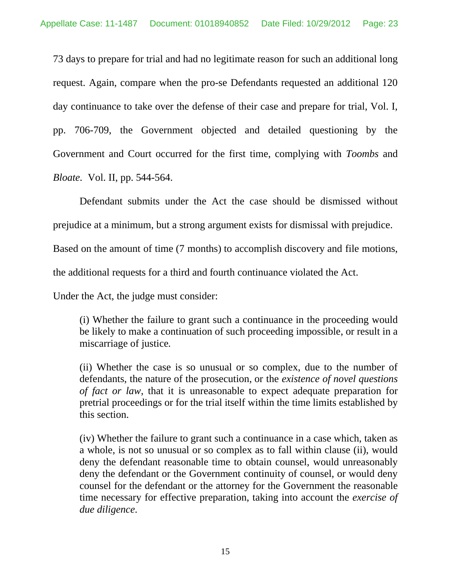73 days to prepare for trial and had no legitimate reason for such an additional long request. Again, compare when the pro-se Defendants requested an additional 120 day continuance to take over the defense of their case and prepare for trial, Vol. I, pp. 706-709, the Government objected and detailed questioning by the Government and Court occurred for the first time, complying with *Toombs* and *Bloate.* Vol. II, pp. 544-564.

Defendant submits under the Act the case should be dismissed without

prejudice at a minimum, but a strong argument exists for dismissal with prejudice.

Based on the amount of time (7 months) to accomplish discovery and file motions,

the additional requests for a third and fourth continuance violated the Act.

Under the Act, the judge must consider:

(i) Whether the failure to grant such a continuance in the proceeding would be likely to make a continuation of such proceeding impossible, or result in a miscarriage of justice.

(ii) Whether the case is so unusual or so complex, due to the number of defendants, the nature of the prosecution, or the *existence of novel questions of fact or law*, that it is unreasonable to expect adequate preparation for pretrial proceedings or for the trial itself within the time limits established by this section.

(iv) Whether the failure to grant such a continuance in a case which, taken as a whole, is not so unusual or so complex as to fall within clause (ii), would deny the defendant reasonable time to obtain counsel, would unreasonably deny the defendant or the Government continuity of counsel, or would deny counsel for the defendant or the attorney for the Government the reasonable time necessary for effective preparation, taking into account the *exercise of due diligence*.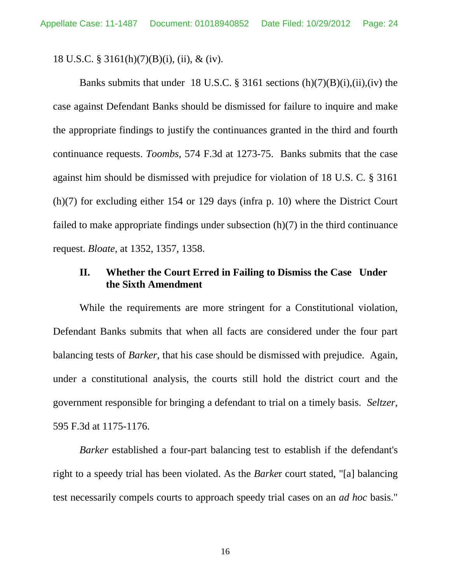18 U.S.C. § 3161(h)(7)(B)(i), (ii), & (iv).

Banks submits that under 18 U.S.C.  $\S$  3161 sections (h)(7)(B)(i),(ii),(iv) the case against Defendant Banks should be dismissed for failure to inquire and make the appropriate findings to justify the continuances granted in the third and fourth continuance requests. *Toombs,* 574 F.3d at 1273-75. Banks submits that the case against him should be dismissed with prejudice for violation of 18 U.S. C. § 3161 (h)(7) for excluding either 154 or 129 days (infra p. 10) where the District Court failed to make appropriate findings under subsection (h)(7) in the third continuance request. *Bloate*, at 1352, 1357, 1358.

### **II. Whether the Court Erred in Failing to Dismiss the Case Under the Sixth Amendment**

While the requirements are more stringent for a Constitutional violation, Defendant Banks submits that when all facts are considered under the four part balancing tests of *Barker*, that his case should be dismissed with prejudice. Again, under a constitutional analysis, the courts still hold the district court and the government responsible for bringing a defendant to trial on a timely basis. *Seltzer,*  595 F.3d at 1175-1176.

*Barker* established a four-part balancing test to establish if the defendant's right to a speedy trial has been violated. As the *Barke*r court stated, "[a] balancing test necessarily compels courts to approach speedy trial cases on an *ad hoc* basis."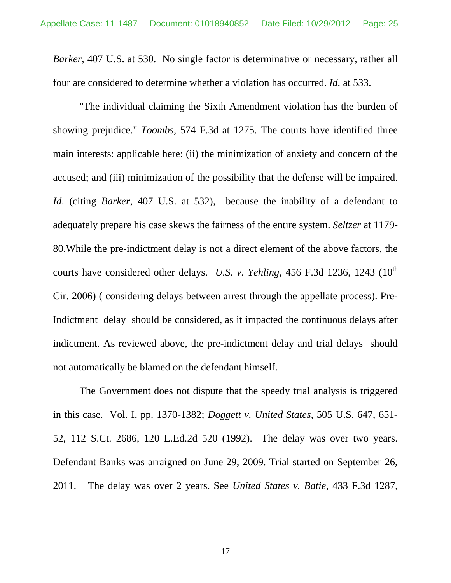*Barker,* 407 U.S. at 530. No single factor is determinative or necessary, rather all four are considered to determine whether a violation has occurred. *Id.* at 533.

"The individual claiming the Sixth Amendment violation has the burden of showing prejudice." *Toombs,* 574 F.3d at 1275. The courts have identified three main interests: applicable here: (ii) the minimization of anxiety and concern of the accused; and (iii) minimization of the possibility that the defense will be impaired. *Id*. (citing *Barker*, 407 U.S. at 532), because the inability of a defendant to adequately prepare his case skews the fairness of the entire system. *Seltzer* at 1179- 80.While the pre-indictment delay is not a direct element of the above factors, the courts have considered other delays. *U.S. v. Yehling*, 456 F.3d 1236, 1243  $(10^{th}$ Cir. 2006) ( considering delays between arrest through the appellate process). Pre-Indictment delay should be considered, as it impacted the continuous delays after indictment. As reviewed above, the pre-indictment delay and trial delays should not automatically be blamed on the defendant himself.

The Government does not dispute that the speedy trial analysis is triggered in this case. Vol. I, pp. 1370-1382; *Doggett v. United States,* 505 U.S. 647, 651- 52, 112 S.Ct. 2686, 120 L.Ed.2d 520 (1992). The delay was over two years. Defendant Banks was arraigned on June 29, 2009. Trial started on September 26, 2011. The delay was over 2 years. See *United States v. Batie,* 433 F.3d 1287,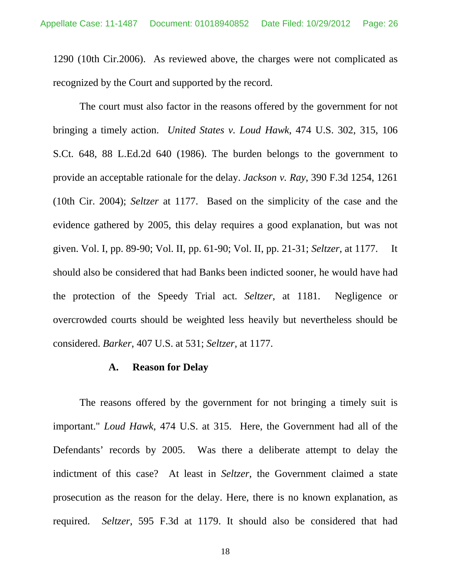1290 (10th Cir.2006). As reviewed above, the charges were not complicated as recognized by the Court and supported by the record.

The court must also factor in the reasons offered by the government for not bringing a timely action. *United States v. Loud Hawk*, 474 U.S. 302, 315, 106 S.Ct. 648, 88 L.Ed.2d 640 (1986). The burden belongs to the government to provide an acceptable rationale for the delay. *Jackson v. Ray*, 390 F.3d 1254, 1261 (10th Cir. 2004); *Seltzer* at 1177. Based on the simplicity of the case and the evidence gathered by 2005, this delay requires a good explanation, but was not given. Vol. I, pp. 89-90; Vol. II, pp. 61-90; Vol. II, pp. 21-31; *Seltzer*, at 1177. It should also be considered that had Banks been indicted sooner, he would have had the protection of the Speedy Trial act. *Seltzer*, at 1181. Negligence or overcrowded courts should be weighted less heavily but nevertheless should be considered. *Barker*, 407 U.S. at 531; *Seltzer,* at 1177.

#### **A. Reason for Delay**

The reasons offered by the government for not bringing a timely suit is important." *Loud Hawk*, 474 U.S. at 315. Here, the Government had all of the Defendants' records by 2005. Was there a deliberate attempt to delay the indictment of this case? At least in *Seltzer,* the Government claimed a state prosecution as the reason for the delay. Here, there is no known explanation, as required. *Seltzer*, 595 F.3d at 1179. It should also be considered that had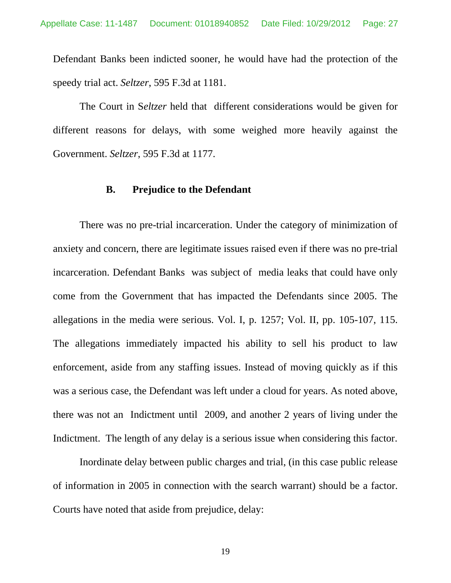Defendant Banks been indicted sooner, he would have had the protection of the speedy trial act. *Seltzer*, 595 F.3d at 1181.

The Court in S*eltzer* held that different considerations would be given for different reasons for delays, with some weighed more heavily against the Government. *Seltzer*, 595 F.3d at 1177.

#### **B. Prejudice to the Defendant**

There was no pre-trial incarceration. Under the category of minimization of anxiety and concern, there are legitimate issues raised even if there was no pre-trial incarceration. Defendant Banks was subject of media leaks that could have only come from the Government that has impacted the Defendants since 2005. The allegations in the media were serious. Vol. I, p. 1257; Vol. II, pp. 105-107, 115. The allegations immediately impacted his ability to sell his product to law enforcement, aside from any staffing issues. Instead of moving quickly as if this was a serious case, the Defendant was left under a cloud for years. As noted above, there was not an Indictment until 2009, and another 2 years of living under the Indictment. The length of any delay is a serious issue when considering this factor.

Inordinate delay between public charges and trial, (in this case public release of information in 2005 in connection with the search warrant) should be a factor. Courts have noted that aside from prejudice, delay: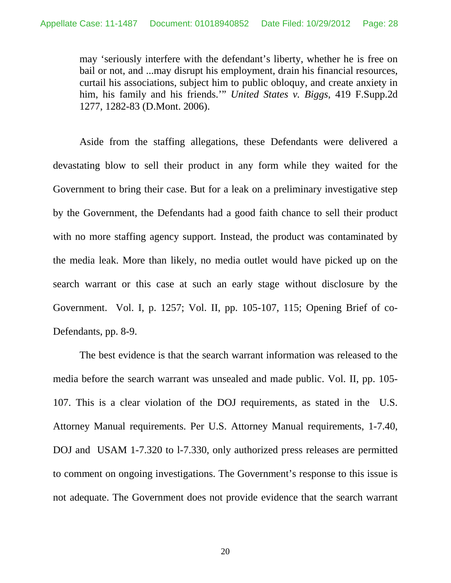may 'seriously interfere with the defendant's liberty, whether he is free on bail or not, and ...may disrupt his employment, drain his financial resources, curtail his associations, subject him to public obloquy, and create anxiety in him, his family and his friends.'" *United States v. Biggs*, 419 F.Supp.2d 1277, 1282-83 (D.Mont. 2006).

Aside from the staffing allegations, these Defendants were delivered a devastating blow to sell their product in any form while they waited for the Government to bring their case. But for a leak on a preliminary investigative step by the Government, the Defendants had a good faith chance to sell their product with no more staffing agency support. Instead, the product was contaminated by the media leak. More than likely, no media outlet would have picked up on the search warrant or this case at such an early stage without disclosure by the Government. Vol. I, p. 1257; Vol. II, pp. 105-107, 115; Opening Brief of co-Defendants, pp. 8-9.

The best evidence is that the search warrant information was released to the media before the search warrant was unsealed and made public. Vol. II, pp. 105- 107. This is a clear violation of the DOJ requirements, as stated in the U.S. Attorney Manual requirements. Per U.S. Attorney Manual requirements, 1-7.40, DOJ and USAM 1-7.320 to l-7.330, only authorized press releases are permitted to comment on ongoing investigations. The Government's response to this issue is not adequate. The Government does not provide evidence that the search warrant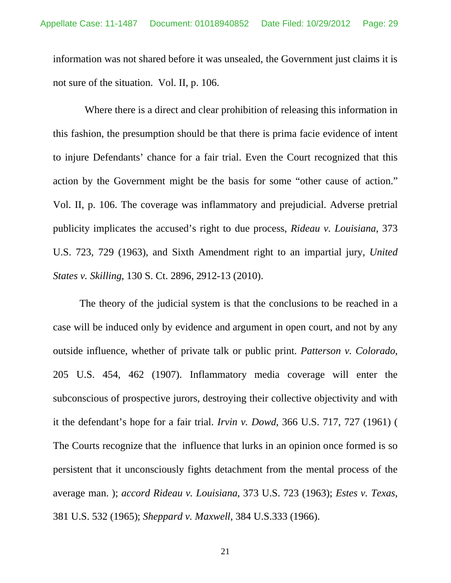information was not shared before it was unsealed, the Government just claims it is not sure of the situation. Vol. II, p. 106.

 Where there is a direct and clear prohibition of releasing this information in this fashion, the presumption should be that there is prima facie evidence of intent to injure Defendants' chance for a fair trial. Even the Court recognized that this action by the Government might be the basis for some "other cause of action." Vol. II, p. 106. The coverage was inflammatory and prejudicial. Adverse pretrial publicity implicates the accused's right to due process, *Rideau v. Louisiana*, 373 U.S. 723, 729 (1963), and Sixth Amendment right to an impartial jury, *United States v. Skilling*, 130 S. Ct. 2896, 2912-13 (2010).

The theory of the judicial system is that the conclusions to be reached in a case will be induced only by evidence and argument in open court, and not by any outside influence, whether of private talk or public print. *Patterson v. Colorado*, 205 U.S. 454, 462 (1907). Inflammatory media coverage will enter the subconscious of prospective jurors, destroying their collective objectivity and with it the defendant's hope for a fair trial. *Irvin v. Dowd*, 366 U.S. 717, 727 (1961) ( The Courts recognize that the influence that lurks in an opinion once formed is so persistent that it unconsciously fights detachment from the mental process of the average man. ); *accord Rideau v. Louisiana*, 373 U.S. 723 (1963); *Estes v. Texas*, 381 U.S. 532 (1965); *Sheppard v. Maxwell*, 384 U.S.333 (1966).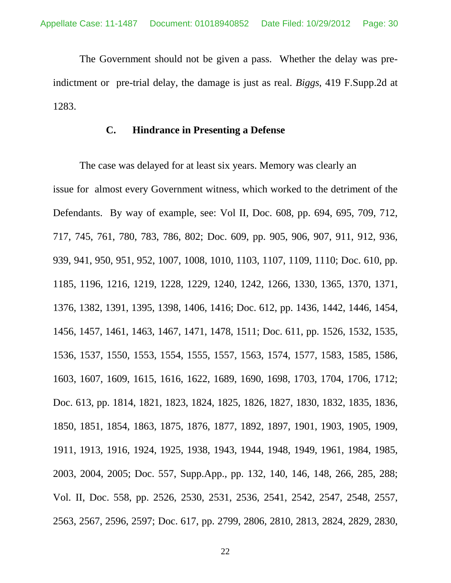The Government should not be given a pass. Whether the delay was preindictment or pre-trial delay, the damage is just as real. *Biggs*, 419 F.Supp.2d at 1283.

#### **C. Hindrance in Presenting a Defense**

The case was delayed for at least six years. Memory was clearly an issue for almost every Government witness, which worked to the detriment of the Defendants. By way of example, see: Vol II, Doc. 608, pp. 694, 695, 709, 712, 717, 745, 761, 780, 783, 786, 802; Doc. 609, pp. 905, 906, 907, 911, 912, 936, 939, 941, 950, 951, 952, 1007, 1008, 1010, 1103, 1107, 1109, 1110; Doc. 610, pp. 1185, 1196, 1216, 1219, 1228, 1229, 1240, 1242, 1266, 1330, 1365, 1370, 1371, 1376, 1382, 1391, 1395, 1398, 1406, 1416; Doc. 612, pp. 1436, 1442, 1446, 1454, 1456, 1457, 1461, 1463, 1467, 1471, 1478, 1511; Doc. 611, pp. 1526, 1532, 1535, 1536, 1537, 1550, 1553, 1554, 1555, 1557, 1563, 1574, 1577, 1583, 1585, 1586, 1603, 1607, 1609, 1615, 1616, 1622, 1689, 1690, 1698, 1703, 1704, 1706, 1712; Doc. 613, pp. 1814, 1821, 1823, 1824, 1825, 1826, 1827, 1830, 1832, 1835, 1836, 1850, 1851, 1854, 1863, 1875, 1876, 1877, 1892, 1897, 1901, 1903, 1905, 1909, 1911, 1913, 1916, 1924, 1925, 1938, 1943, 1944, 1948, 1949, 1961, 1984, 1985, 2003, 2004, 2005; Doc. 557, Supp.App., pp. 132, 140, 146, 148, 266, 285, 288; Vol. II, Doc. 558, pp. 2526, 2530, 2531, 2536, 2541, 2542, 2547, 2548, 2557, 2563, 2567, 2596, 2597; Doc. 617, pp. 2799, 2806, 2810, 2813, 2824, 2829, 2830,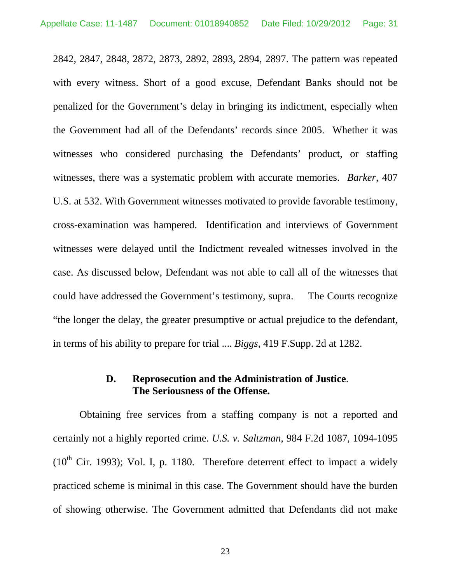2842, 2847, 2848, 2872, 2873, 2892, 2893, 2894, 2897. The pattern was repeated with every witness. Short of a good excuse, Defendant Banks should not be penalized for the Government's delay in bringing its indictment, especially when the Government had all of the Defendants' records since 2005. Whether it was witnesses who considered purchasing the Defendants' product, or staffing witnesses, there was a systematic problem with accurate memories. *Barker*, 407 U.S. at 532. With Government witnesses motivated to provide favorable testimony, cross-examination was hampered. Identification and interviews of Government witnesses were delayed until the Indictment revealed witnesses involved in the case. As discussed below, Defendant was not able to call all of the witnesses that could have addressed the Government's testimony, supra. The Courts recognize "the longer the delay, the greater presumptive or actual prejudice to the defendant, in terms of his ability to prepare for trial .... *Biggs*, 419 F.Supp. 2d at 1282.

# **D. Reprosecution and the Administration of Justice**. **The Seriousness of the Offense.**

Obtaining free services from a staffing company is not a reported and certainly not a highly reported crime. *U.S. v. Saltzman,* 984 F.2d 1087, 1094-1095  $(10<sup>th</sup>$  Cir. 1993); Vol. I, p. 1180. Therefore deterrent effect to impact a widely practiced scheme is minimal in this case. The Government should have the burden of showing otherwise. The Government admitted that Defendants did not make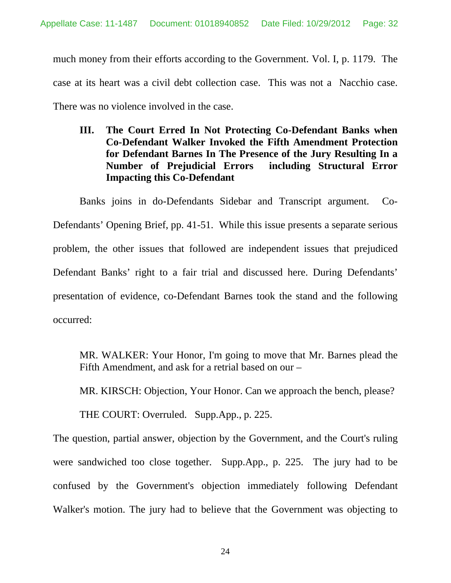much money from their efforts according to the Government. Vol. I, p. 1179. The case at its heart was a civil debt collection case. This was not a Nacchio case. There was no violence involved in the case.

# **III. The Court Erred In Not Protecting Co-Defendant Banks when Co-Defendant Walker Invoked the Fifth Amendment Protection for Defendant Barnes In The Presence of the Jury Resulting In a Number of Prejudicial Errors including Structural Error Impacting this Co-Defendant**

Banks joins in do-Defendants Sidebar and Transcript argument. Co-Defendants' Opening Brief, pp. 41-51. While this issue presents a separate serious problem, the other issues that followed are independent issues that prejudiced Defendant Banks' right to a fair trial and discussed here. During Defendants' presentation of evidence, co-Defendant Barnes took the stand and the following occurred:

MR. WALKER: Your Honor, I'm going to move that Mr. Barnes plead the Fifth Amendment, and ask for a retrial based on our –

MR. KIRSCH: Objection, Your Honor. Can we approach the bench, please?

THE COURT: Overruled. Supp.App., p. 225.

The question, partial answer, objection by the Government, and the Court's ruling were sandwiched too close together. Supp.App., p. 225. The jury had to be confused by the Government's objection immediately following Defendant Walker's motion. The jury had to believe that the Government was objecting to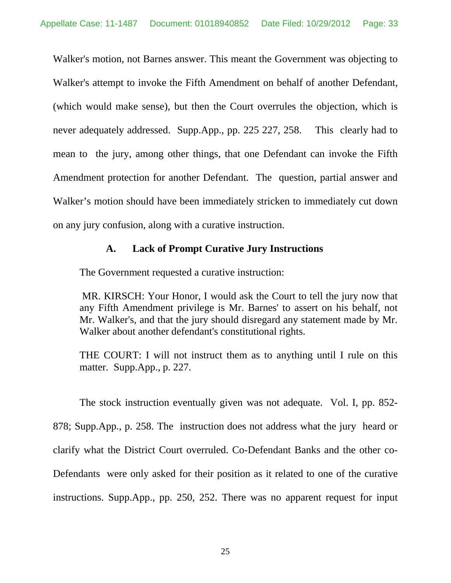Walker's motion, not Barnes answer. This meant the Government was objecting to Walker's attempt to invoke the Fifth Amendment on behalf of another Defendant, (which would make sense), but then the Court overrules the objection, which is never adequately addressed. Supp.App., pp. 225 227, 258. This clearly had to mean to the jury, among other things, that one Defendant can invoke the Fifth Amendment protection for another Defendant. The question, partial answer and Walker's motion should have been immediately stricken to immediately cut down on any jury confusion, along with a curative instruction.

#### **A. Lack of Prompt Curative Jury Instructions**

The Government requested a curative instruction:

 MR. KIRSCH: Your Honor, I would ask the Court to tell the jury now that any Fifth Amendment privilege is Mr. Barnes' to assert on his behalf, not Mr. Walker's, and that the jury should disregard any statement made by Mr. Walker about another defendant's constitutional rights.

THE COURT: I will not instruct them as to anything until I rule on this matter. Supp.App., p. 227.

The stock instruction eventually given was not adequate. Vol. I, pp. 852- 878; Supp.App., p. 258. The instruction does not address what the jury heard or clarify what the District Court overruled. Co-Defendant Banks and the other co-Defendants were only asked for their position as it related to one of the curative instructions. Supp.App., pp. 250, 252. There was no apparent request for input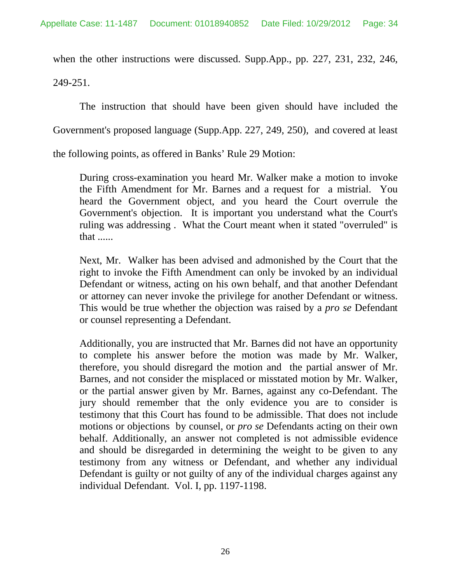when the other instructions were discussed. Supp.App., pp. 227, 231, 232, 246, 249-251.

The instruction that should have been given should have included the Government's proposed language (Supp.App. 227, 249, 250), and covered at least the following points, as offered in Banks' Rule 29 Motion:

During cross-examination you heard Mr. Walker make a motion to invoke the Fifth Amendment for Mr. Barnes and a request for a mistrial. You heard the Government object, and you heard the Court overrule the Government's objection. It is important you understand what the Court's ruling was addressing . What the Court meant when it stated "overruled" is that ......

Next, Mr. Walker has been advised and admonished by the Court that the right to invoke the Fifth Amendment can only be invoked by an individual Defendant or witness, acting on his own behalf, and that another Defendant or attorney can never invoke the privilege for another Defendant or witness. This would be true whether the objection was raised by a *pro se* Defendant or counsel representing a Defendant.

Additionally, you are instructed that Mr. Barnes did not have an opportunity to complete his answer before the motion was made by Mr. Walker, therefore, you should disregard the motion and the partial answer of Mr. Barnes, and not consider the misplaced or misstated motion by Mr. Walker, or the partial answer given by Mr. Barnes, against any co-Defendant. The jury should remember that the only evidence you are to consider is testimony that this Court has found to be admissible. That does not include motions or objections by counsel, or *pro se* Defendants acting on their own behalf. Additionally, an answer not completed is not admissible evidence and should be disregarded in determining the weight to be given to any testimony from any witness or Defendant, and whether any individual Defendant is guilty or not guilty of any of the individual charges against any individual Defendant. Vol. I, pp. 1197-1198.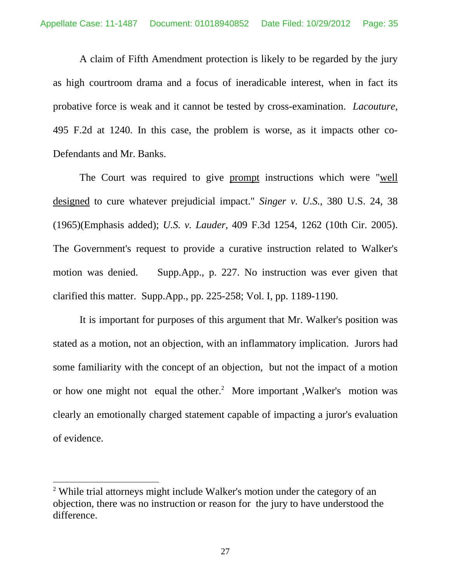A claim of Fifth Amendment protection is likely to be regarded by the jury as high courtroom drama and a focus of ineradicable interest, when in fact its probative force is weak and it cannot be tested by cross-examination. *Lacouture,* 495 F.2d at 1240. In this case, the problem is worse, as it impacts other co-Defendants and Mr. Banks.

The Court was required to give prompt instructions which were "well designed to cure whatever prejudicial impact." *Singer v. U.S.*, 380 U.S. 24, 38 (1965)(Emphasis added); *U.S. v. Lauder,* 409 F.3d 1254, 1262 (10th Cir. 2005). The Government's request to provide a curative instruction related to Walker's motion was denied. Supp.App., p. 227. No instruction was ever given that clarified this matter. Supp.App., pp. 225-258; Vol. I, pp. 1189-1190.

It is important for purposes of this argument that Mr. Walker's position was stated as a motion, not an objection, with an inflammatory implication. Jurors had some familiarity with the concept of an objection, but not the impact of a motion or how one might not equal the other.<sup>2</sup> More important , Walker's motion was clearly an emotionally charged statement capable of impacting a juror's evaluation of evidence.

l

<sup>&</sup>lt;sup>2</sup> While trial attorneys might include Walker's motion under the category of an objection, there was no instruction or reason for the jury to have understood the difference.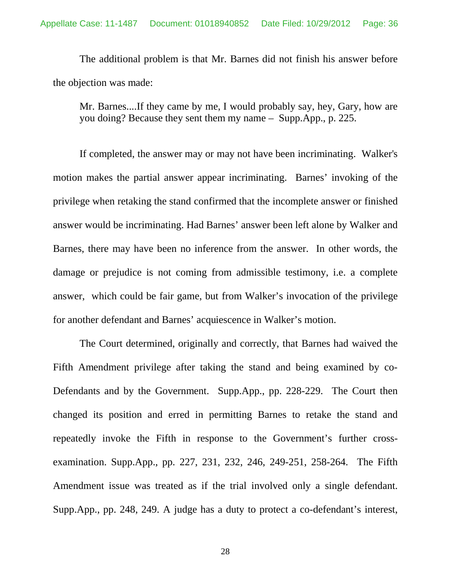The additional problem is that Mr. Barnes did not finish his answer before the objection was made:

Mr. Barnes....If they came by me, I would probably say, hey, Gary, how are you doing? Because they sent them my name – Supp.App., p. 225.

If completed, the answer may or may not have been incriminating. Walker's motion makes the partial answer appear incriminating. Barnes' invoking of the privilege when retaking the stand confirmed that the incomplete answer or finished answer would be incriminating. Had Barnes' answer been left alone by Walker and Barnes, there may have been no inference from the answer. In other words, the damage or prejudice is not coming from admissible testimony, i.e. a complete answer, which could be fair game, but from Walker's invocation of the privilege for another defendant and Barnes' acquiescence in Walker's motion.

The Court determined, originally and correctly, that Barnes had waived the Fifth Amendment privilege after taking the stand and being examined by co-Defendants and by the Government. Supp.App., pp. 228-229. The Court then changed its position and erred in permitting Barnes to retake the stand and repeatedly invoke the Fifth in response to the Government's further crossexamination. Supp.App., pp. 227, 231, 232, 246, 249-251, 258-264. The Fifth Amendment issue was treated as if the trial involved only a single defendant. Supp.App., pp. 248, 249. A judge has a duty to protect a co-defendant's interest,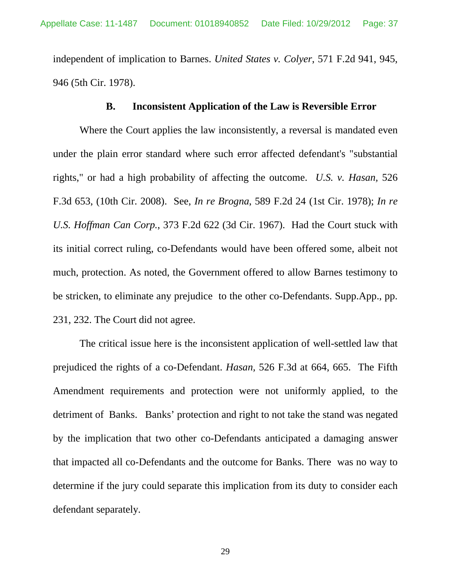independent of implication to Barnes. *United States v. Colyer*, 571 F.2d 941, 945, 946 (5th Cir. 1978).

#### **B. Inconsistent Application of the Law is Reversible Error**

Where the Court applies the law inconsistently, a reversal is mandated even under the plain error standard where such error affected defendant's "substantial rights," or had a high probability of affecting the outcome. *U.S. v. Hasan,* 526 F.3d 653, (10th Cir. 2008). See, *In re Brogna*, 589 F.2d 24 (1st Cir. 1978); *In re U.S. Hoffman Can Corp.*, 373 F.2d 622 (3d Cir. 1967). Had the Court stuck with its initial correct ruling, co-Defendants would have been offered some, albeit not much, protection. As noted, the Government offered to allow Barnes testimony to be stricken, to eliminate any prejudice to the other co-Defendants. Supp.App., pp. 231, 232. The Court did not agree.

The critical issue here is the inconsistent application of well-settled law that prejudiced the rights of a co-Defendant. *Hasan,* 526 F.3d at 664, 665. The Fifth Amendment requirements and protection were not uniformly applied, to the detriment of Banks. Banks' protection and right to not take the stand was negated by the implication that two other co-Defendants anticipated a damaging answer that impacted all co-Defendants and the outcome for Banks. There was no way to determine if the jury could separate this implication from its duty to consider each defendant separately.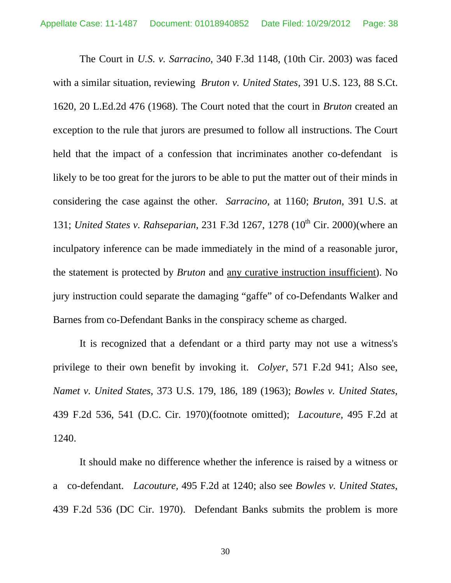The Court in *U.S. v. Sarracino*, 340 F.3d 1148, (10th Cir. 2003) was faced with a similar situation, reviewing *Bruton v. United States*, 391 U.S. 123, 88 S.Ct. 1620, 20 L.Ed.2d 476 (1968). The Court noted that the court in *Bruton* created an exception to the rule that jurors are presumed to follow all instructions. The Court held that the impact of a confession that incriminates another co-defendant is likely to be too great for the jurors to be able to put the matter out of their minds in considering the case against the other. *Sarracino,* at 1160; *Bruton*, 391 U.S. at 131; *United States v. Rahseparian*, 231 F.3d 1267, 1278 (10<sup>th</sup> Cir. 2000) (where an inculpatory inference can be made immediately in the mind of a reasonable juror, the statement is protected by *Bruton* and any curative instruction insufficient). No jury instruction could separate the damaging "gaffe" of co-Defendants Walker and Barnes from co-Defendant Banks in the conspiracy scheme as charged.

It is recognized that a defendant or a third party may not use a witness's privilege to their own benefit by invoking it. *Colyer*, 571 F.2d 941; Also see, *Namet v. United States*, 373 U.S. 179, 186, 189 (1963); *Bowles v. United States*, 439 F.2d 536, 541 (D.C. Cir. 1970)(footnote omitted); *Lacouture,* 495 F.2d at 1240.

It should make no difference whether the inference is raised by a witness or a co-defendant. *Lacouture,* 495 F.2d at 1240; also see *Bowles v. United States*, 439 F.2d 536 (DC Cir. 1970). Defendant Banks submits the problem is more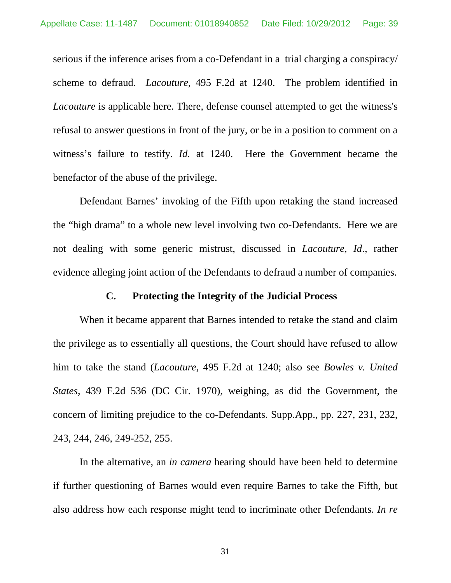serious if the inference arises from a co-Defendant in a trial charging a conspiracy/ scheme to defraud. *Lacouture,* 495 F.2d at 1240. The problem identified in *Lacouture* is applicable here. There, defense counsel attempted to get the witness's refusal to answer questions in front of the jury, or be in a position to comment on a witness's failure to testify. *Id.* at 1240. Here the Government became the benefactor of the abuse of the privilege.

Defendant Barnes' invoking of the Fifth upon retaking the stand increased the "high drama" to a whole new level involving two co-Defendants. Here we are not dealing with some generic mistrust, discussed in *Lacouture*, *Id*., rather evidence alleging joint action of the Defendants to defraud a number of companies.

#### **C. Protecting the Integrity of the Judicial Process**

When it became apparent that Barnes intended to retake the stand and claim the privilege as to essentially all questions, the Court should have refused to allow him to take the stand (*Lacouture,* 495 F.2d at 1240; also see *Bowles v. United States*, 439 F.2d 536 (DC Cir. 1970), weighing, as did the Government, the concern of limiting prejudice to the co-Defendants. Supp.App., pp. 227, 231, 232, 243, 244, 246, 249-252, 255.

In the alternative, an *in camera* hearing should have been held to determine if further questioning of Barnes would even require Barnes to take the Fifth, but also address how each response might tend to incriminate other Defendants. *In re*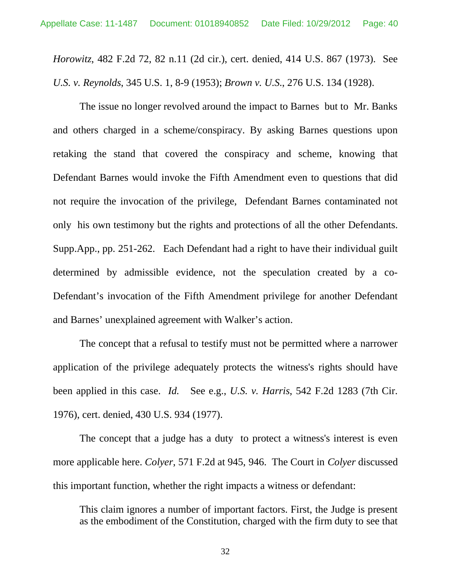*Horowitz*, 482 F.2d 72, 82 n.11 (2d cir.), cert. denied, 414 U.S. 867 (1973). See *U.S. v. Reynolds*, 345 U.S. 1, 8-9 (1953); *Brown v. U.S.*, 276 U.S. 134 (1928).

The issue no longer revolved around the impact to Barnes but to Mr. Banks and others charged in a scheme/conspiracy. By asking Barnes questions upon retaking the stand that covered the conspiracy and scheme, knowing that Defendant Barnes would invoke the Fifth Amendment even to questions that did not require the invocation of the privilege, Defendant Barnes contaminated not only his own testimony but the rights and protections of all the other Defendants. Supp.App., pp. 251-262. Each Defendant had a right to have their individual guilt determined by admissible evidence, not the speculation created by a co-Defendant's invocation of the Fifth Amendment privilege for another Defendant and Barnes' unexplained agreement with Walker's action.

The concept that a refusal to testify must not be permitted where a narrower application of the privilege adequately protects the witness's rights should have been applied in this case. *Id.* See e.g., *U.S. v. Harris*, 542 F.2d 1283 (7th Cir. 1976), cert. denied, 430 U.S. 934 (1977).

The concept that a judge has a duty to protect a witness's interest is even more applicable here. *Colyer*, 571 F.2d at 945, 946. The Court in *Colyer* discussed this important function, whether the right impacts a witness or defendant:

This claim ignores a number of important factors. First, the Judge is present as the embodiment of the Constitution, charged with the firm duty to see that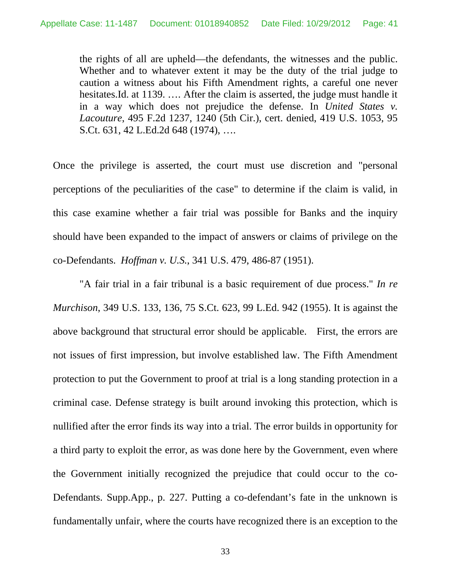the rights of all are upheld—the defendants, the witnesses and the public. Whether and to whatever extent it may be the duty of the trial judge to caution a witness about his Fifth Amendment rights, a careful one never hesitates.Id. at 1139. …. After the claim is asserted, the judge must handle it in a way which does not prejudice the defense. In *United States v. Lacouture*, 495 F.2d 1237, 1240 (5th Cir.), cert. denied, 419 U.S. 1053, 95 S.Ct. 631, 42 L.Ed.2d 648 (1974), ….

Once the privilege is asserted, the court must use discretion and "personal perceptions of the peculiarities of the case" to determine if the claim is valid, in this case examine whether a fair trial was possible for Banks and the inquiry should have been expanded to the impact of answers or claims of privilege on the co-Defendants. *Hoffman v. U.S.*, 341 U.S. 479, 486-87 (1951).

"A fair trial in a fair tribunal is a basic requirement of due process." *In re Murchison*, 349 U.S. 133, 136, 75 S.Ct. 623, 99 L.Ed. 942 (1955). It is against the above background that structural error should be applicable. First, the errors are not issues of first impression, but involve established law. The Fifth Amendment protection to put the Government to proof at trial is a long standing protection in a criminal case. Defense strategy is built around invoking this protection, which is nullified after the error finds its way into a trial. The error builds in opportunity for a third party to exploit the error, as was done here by the Government, even where the Government initially recognized the prejudice that could occur to the co-Defendants. Supp.App., p. 227. Putting a co-defendant's fate in the unknown is fundamentally unfair, where the courts have recognized there is an exception to the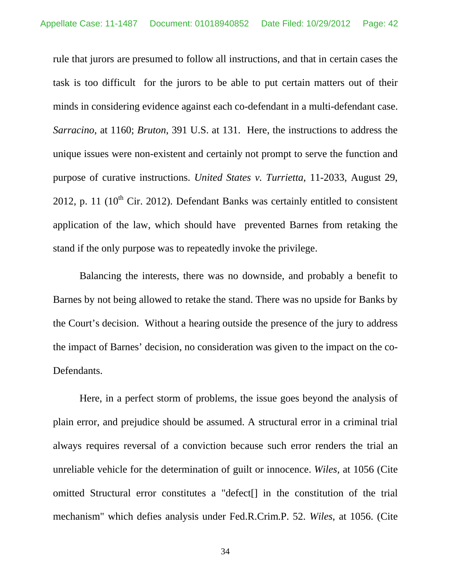rule that jurors are presumed to follow all instructions, and that in certain cases the task is too difficult for the jurors to be able to put certain matters out of their minds in considering evidence against each co-defendant in a multi-defendant case. *Sarracino,* at 1160; *Bruton*, 391 U.S. at 131. Here, the instructions to address the unique issues were non-existent and certainly not prompt to serve the function and purpose of curative instructions. *United States v. Turrietta*, 11-2033, August 29, 2012, p. 11 ( $10^{th}$  Cir. 2012). Defendant Banks was certainly entitled to consistent application of the law, which should have prevented Barnes from retaking the stand if the only purpose was to repeatedly invoke the privilege.

Balancing the interests, there was no downside, and probably a benefit to Barnes by not being allowed to retake the stand. There was no upside for Banks by the Court's decision. Without a hearing outside the presence of the jury to address the impact of Barnes' decision, no consideration was given to the impact on the co-Defendants.

Here, in a perfect storm of problems, the issue goes beyond the analysis of plain error, and prejudice should be assumed. A structural error in a criminal trial always requires reversal of a conviction because such error renders the trial an unreliable vehicle for the determination of guilt or innocence. *Wiles,* at 1056 (Cite omitted Structural error constitutes a "defect[] in the constitution of the trial mechanism" which defies analysis under Fed.R.Crim.P. 52. *Wiles*, at 1056. (Cite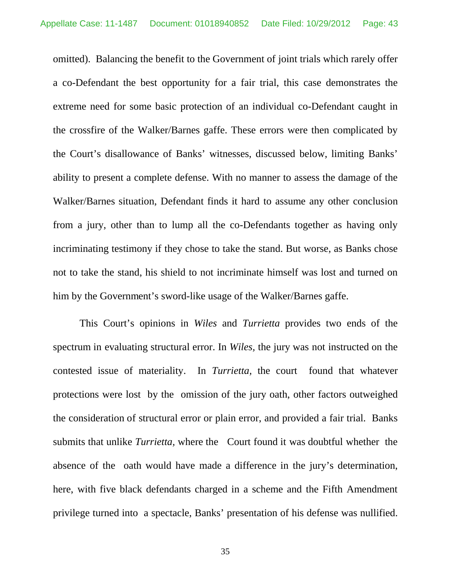omitted). Balancing the benefit to the Government of joint trials which rarely offer a co-Defendant the best opportunity for a fair trial, this case demonstrates the extreme need for some basic protection of an individual co-Defendant caught in the crossfire of the Walker/Barnes gaffe. These errors were then complicated by the Court's disallowance of Banks' witnesses, discussed below, limiting Banks' ability to present a complete defense. With no manner to assess the damage of the Walker/Barnes situation, Defendant finds it hard to assume any other conclusion from a jury, other than to lump all the co-Defendants together as having only incriminating testimony if they chose to take the stand. But worse, as Banks chose not to take the stand, his shield to not incriminate himself was lost and turned on him by the Government's sword-like usage of the Walker/Barnes gaffe.

This Court's opinions in *Wiles* and *Turrietta* provides two ends of the spectrum in evaluating structural error. In *Wiles,* the jury was not instructed on the contested issue of materiality. In *Turrietta,* the court found that whatever protections were lost by the omission of the jury oath, other factors outweighed the consideration of structural error or plain error, and provided a fair trial. Banks submits that unlike *Turrietta,* where the Court found it was doubtful whether the absence of the oath would have made a difference in the jury's determination, here, with five black defendants charged in a scheme and the Fifth Amendment privilege turned into a spectacle, Banks' presentation of his defense was nullified.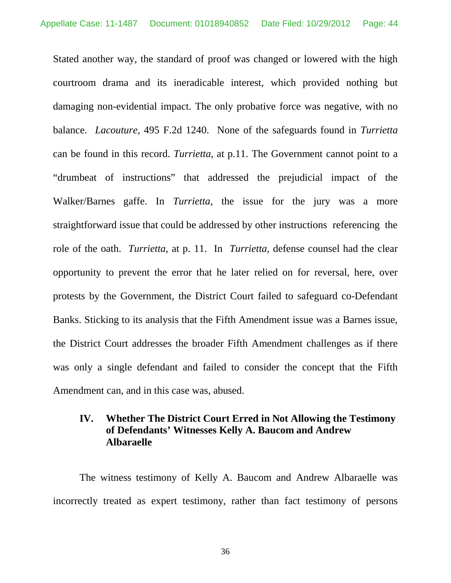Stated another way, the standard of proof was changed or lowered with the high courtroom drama and its ineradicable interest, which provided nothing but damaging non-evidential impact. The only probative force was negative, with no balance. *Lacouture,* 495 F.2d 1240. None of the safeguards found in *Turrietta* can be found in this record. *Turrietta*, at p.11. The Government cannot point to a "drumbeat of instructions" that addressed the prejudicial impact of the Walker/Barnes gaffe. In *Turrietta,* the issue for the jury was a more straightforward issue that could be addressed by other instructions referencing the role of the oath. *Turrietta*, at p. 11. In *Turrietta*, defense counsel had the clear opportunity to prevent the error that he later relied on for reversal, here, over protests by the Government, the District Court failed to safeguard co-Defendant Banks. Sticking to its analysis that the Fifth Amendment issue was a Barnes issue, the District Court addresses the broader Fifth Amendment challenges as if there was only a single defendant and failed to consider the concept that the Fifth Amendment can, and in this case was, abused.

## **IV. Whether The District Court Erred in Not Allowing the Testimony of Defendants' Witnesses Kelly A. Baucom and Andrew Albaraelle**

The witness testimony of Kelly A. Baucom and Andrew Albaraelle was incorrectly treated as expert testimony, rather than fact testimony of persons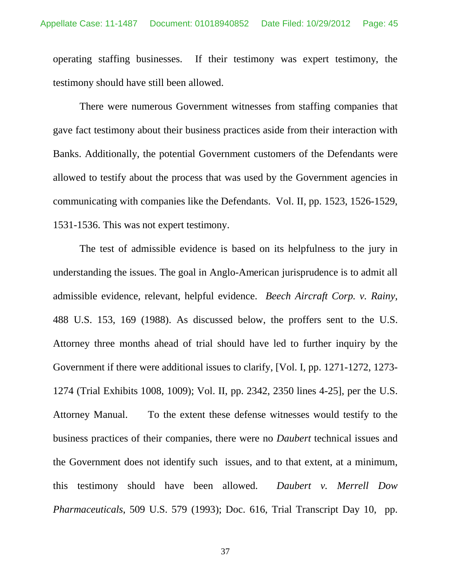operating staffing businesses. If their testimony was expert testimony, the testimony should have still been allowed.

There were numerous Government witnesses from staffing companies that gave fact testimony about their business practices aside from their interaction with Banks. Additionally, the potential Government customers of the Defendants were allowed to testify about the process that was used by the Government agencies in communicating with companies like the Defendants. Vol. II, pp. 1523, 1526-1529, 1531-1536. This was not expert testimony.

The test of admissible evidence is based on its helpfulness to the jury in understanding the issues. The goal in Anglo-American jurisprudence is to admit all admissible evidence, relevant, helpful evidence. *Beech Aircraft Corp. v. Rainy*, 488 U.S. 153, 169 (1988). As discussed below, the proffers sent to the U.S. Attorney three months ahead of trial should have led to further inquiry by the Government if there were additional issues to clarify, [Vol. I, pp. 1271-1272, 1273- 1274 (Trial Exhibits 1008, 1009); Vol. II, pp. 2342, 2350 lines 4-25], per the U.S. Attorney Manual. To the extent these defense witnesses would testify to the business practices of their companies, there were no *Daubert* technical issues and the Government does not identify such issues, and to that extent, at a minimum, this testimony should have been allowed. *Daubert v. Merrell Dow Pharmaceuticals*, 509 U.S. 579 (1993); Doc. 616, Trial Transcript Day 10, pp.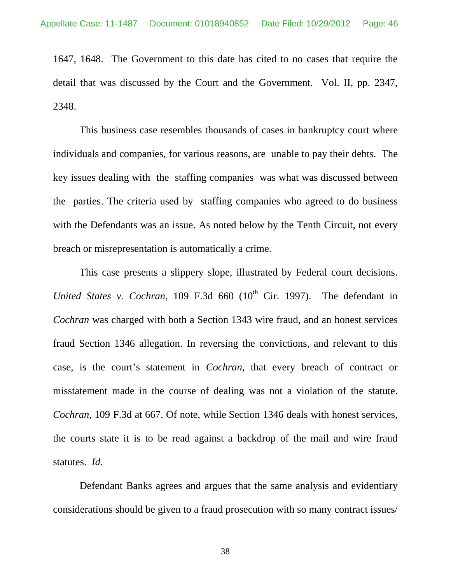1647, 1648. The Government to this date has cited to no cases that require the detail that was discussed by the Court and the Government. Vol. II, pp. 2347, 2348.

This business case resembles thousands of cases in bankruptcy court where individuals and companies, for various reasons, are unable to pay their debts. The key issues dealing with the staffing companies was what was discussed between the parties. The criteria used by staffing companies who agreed to do business with the Defendants was an issue. As noted below by the Tenth Circuit, not every breach or misrepresentation is automatically a crime.

This case presents a slippery slope, illustrated by Federal court decisions. *United States v. Cochran,* 109 F.3d 660  $(10<sup>th</sup>$  Cir. 1997). The defendant in *Cochran* was charged with both a Section 1343 wire fraud, and an honest services fraud Section 1346 allegation. In reversing the convictions, and relevant to this case, is the court's statement in *Cochran*, that every breach of contract or misstatement made in the course of dealing was not a violation of the statute. *Cochran,* 109 F.3d at 667. Of note, while Section 1346 deals with honest services, the courts state it is to be read against a backdrop of the mail and wire fraud statutes. *Id.*

Defendant Banks agrees and argues that the same analysis and evidentiary considerations should be given to a fraud prosecution with so many contract issues/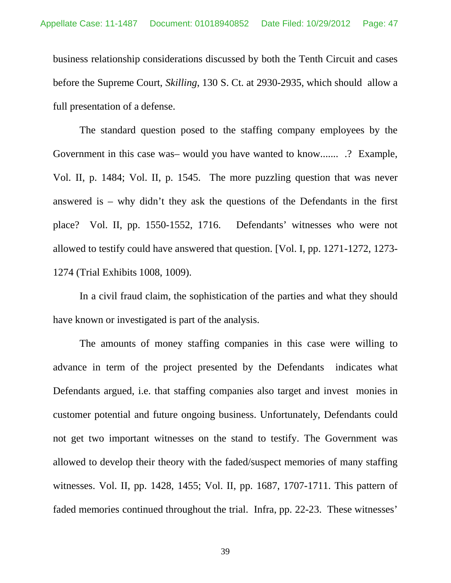business relationship considerations discussed by both the Tenth Circuit and cases before the Supreme Court, *Skilling*, 130 S. Ct. at 2930-2935, which should allow a full presentation of a defense.

The standard question posed to the staffing company employees by the Government in this case was– would you have wanted to know....... .? Example, Vol. II, p. 1484; Vol. II, p. 1545. The more puzzling question that was never answered is – why didn't they ask the questions of the Defendants in the first place? Vol. II, pp. 1550-1552, 1716. Defendants' witnesses who were not allowed to testify could have answered that question. [Vol. I, pp. 1271-1272, 1273- 1274 (Trial Exhibits 1008, 1009).

In a civil fraud claim, the sophistication of the parties and what they should have known or investigated is part of the analysis.

The amounts of money staffing companies in this case were willing to advance in term of the project presented by the Defendants indicates what Defendants argued, i.e. that staffing companies also target and invest monies in customer potential and future ongoing business. Unfortunately, Defendants could not get two important witnesses on the stand to testify. The Government was allowed to develop their theory with the faded/suspect memories of many staffing witnesses. Vol. II, pp. 1428, 1455; Vol. II, pp. 1687, 1707-1711. This pattern of faded memories continued throughout the trial. Infra, pp. 22-23. These witnesses'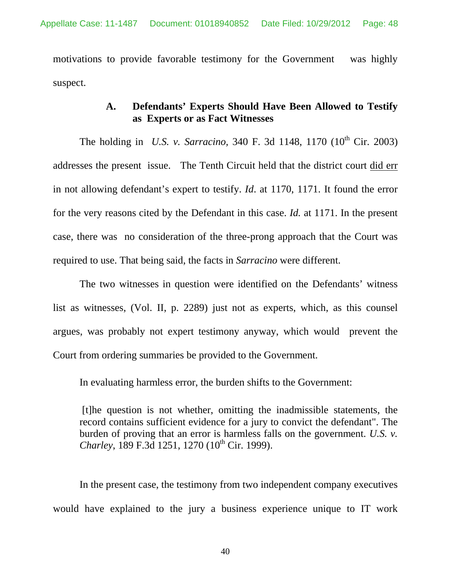motivations to provide favorable testimony for the Government was highly suspect.

### **A. Defendants' Experts Should Have Been Allowed to Testify as Experts or as Fact Witnesses**

The holding in *U.S. v. Sarracino*, 340 F. 3d 1148, 1170 (10<sup>th</sup> Cir. 2003) addresses the present issue. The Tenth Circuit held that the district court did err in not allowing defendant's expert to testify. *Id*. at 1170, 1171. It found the error for the very reasons cited by the Defendant in this case. *Id.* at 1171. In the present case, there was no consideration of the three-prong approach that the Court was required to use. That being said, the facts in *Sarracino* were different.

The two witnesses in question were identified on the Defendants' witness list as witnesses, (Vol. II, p. 2289) just not as experts, which, as this counsel argues, was probably not expert testimony anyway, which would prevent the Court from ordering summaries be provided to the Government.

In evaluating harmless error, the burden shifts to the Government:

 [t]he question is not whether, omitting the inadmissible statements, the record contains sufficient evidence for a jury to convict the defendant". The burden of proving that an error is harmless falls on the government. *U.S. v. Charley*, 189 F.3d 1251, 1270 (10<sup>th</sup> Cir. 1999).

In the present case, the testimony from two independent company executives would have explained to the jury a business experience unique to IT work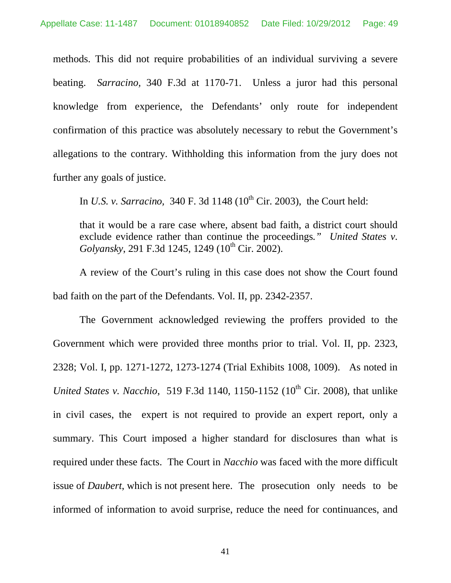methods. This did not require probabilities of an individual surviving a severe beating. *Sarracino,* 340 F.3d at 1170-71. Unless a juror had this personal knowledge from experience, the Defendants' only route for independent confirmation of this practice was absolutely necessary to rebut the Government's allegations to the contrary. Withholding this information from the jury does not further any goals of justice.

In *U.S. v. Sarracino*, 340 F. 3d 1148 (10<sup>th</sup> Cir. 2003), the Court held:

that it would be a rare case where, absent bad faith, a district court should exclude evidence rather than continue the proceedings*." United States v. Golyansky*, 291 F.3d 1245, 1249 (10<sup>th</sup> Cir. 2002).

A review of the Court's ruling in this case does not show the Court found bad faith on the part of the Defendants. Vol. II, pp. 2342-2357.

The Government acknowledged reviewing the proffers provided to the Government which were provided three months prior to trial. Vol. II, pp. 2323, 2328; Vol. I, pp. 1271-1272, 1273-1274 (Trial Exhibits 1008, 1009). As noted in *United States v. Nacchio*, 519 F.3d 1140, 1150-1152 (10<sup>th</sup> Cir. 2008), that unlike in civil cases, the expert is not required to provide an expert report, only a summary. This Court imposed a higher standard for disclosures than what is required under these facts. The Court in *Nacchio* was faced with the more difficult issue of *Daubert*, which is not present here. The prosecution only needs to be informed of information to avoid surprise, reduce the need for continuances, and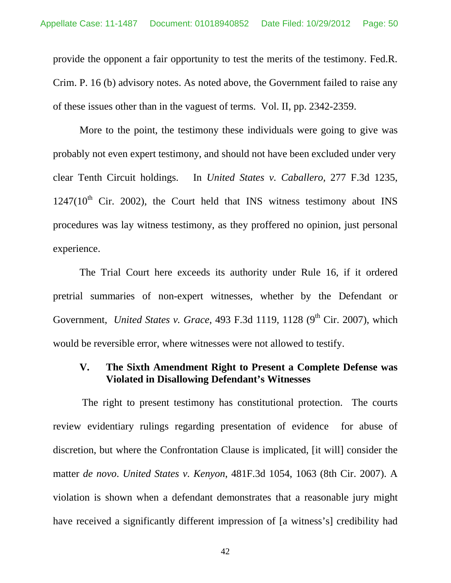provide the opponent a fair opportunity to test the merits of the testimony. Fed.R. Crim. P. 16 (b) advisory notes. As noted above, the Government failed to raise any of these issues other than in the vaguest of terms. Vol. II, pp. 2342-2359.

More to the point, the testimony these individuals were going to give was probably not even expert testimony, and should not have been excluded under very clear Tenth Circuit holdings. In *United States v. Caballero,* 277 F.3d 1235,  $1247(10<sup>th</sup>$  Cir. 2002), the Court held that INS witness testimony about INS procedures was lay witness testimony, as they proffered no opinion, just personal experience.

The Trial Court here exceeds its authority under Rule 16, if it ordered pretrial summaries of non-expert witnesses, whether by the Defendant or Government, *United States v. Grace*, 493 F.3d 1119, 1128 (9<sup>th</sup> Cir. 2007), which would be reversible error, where witnesses were not allowed to testify.

# **V. The Sixth Amendment Right to Present a Complete Defense was Violated in Disallowing Defendant's Witnesses**

 The right to present testimony has constitutional protection. The courts review evidentiary rulings regarding presentation of evidence for abuse of discretion, but where the Confrontation Clause is implicated, [it will] consider the matter *de novo*. *United States v. Kenyon*, 481F.3d 1054, 1063 (8th Cir. 2007). A violation is shown when a defendant demonstrates that a reasonable jury might have received a significantly different impression of [a witness's] credibility had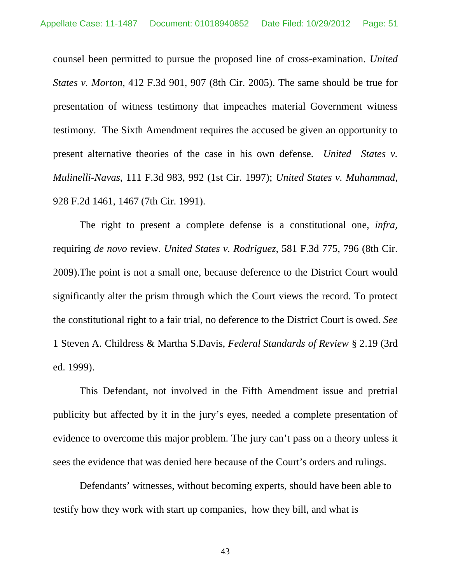counsel been permitted to pursue the proposed line of cross-examination. *United States v. Morton*, 412 F.3d 901, 907 (8th Cir. 2005). The same should be true for presentation of witness testimony that impeaches material Government witness testimony. The Sixth Amendment requires the accused be given an opportunity to present alternative theories of the case in his own defense. *United States v. Mulinelli-Navas*, 111 F.3d 983, 992 (1st Cir. 1997); *United States v. Muhammad*, 928 F.2d 1461, 1467 (7th Cir. 1991).

The right to present a complete defense is a constitutional one, *infra,*  requiring *de novo* review. *United States v. Rodriguez,* 581 F.3d 775, 796 (8th Cir. 2009).The point is not a small one, because deference to the District Court would significantly alter the prism through which the Court views the record. To protect the constitutional right to a fair trial, no deference to the District Court is owed. *See*  1 Steven A. Childress & Martha S.Davis, *Federal Standards of Review* § 2.19 (3rd ed. 1999).

This Defendant, not involved in the Fifth Amendment issue and pretrial publicity but affected by it in the jury's eyes, needed a complete presentation of evidence to overcome this major problem. The jury can't pass on a theory unless it sees the evidence that was denied here because of the Court's orders and rulings.

Defendants' witnesses, without becoming experts, should have been able to testify how they work with start up companies, how they bill, and what is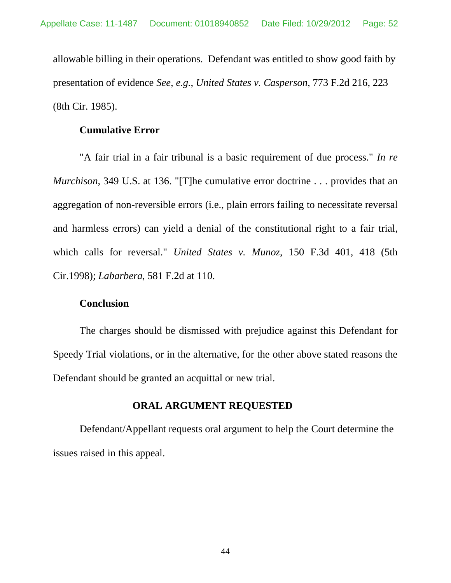allowable billing in their operations. Defendant was entitled to show good faith by presentation of evidence *See, e.g.*, *United States v. Casperson*, 773 F.2d 216, 223 (8th Cir. 1985).

#### **Cumulative Error**

"A fair trial in a fair tribunal is a basic requirement of due process." *In re Murchison*, 349 U.S. at 136. "[T]he cumulative error doctrine . . . provides that an aggregation of non-reversible errors (i.e., plain errors failing to necessitate reversal and harmless errors) can yield a denial of the constitutional right to a fair trial, which calls for reversal." *United States v. Munoz*, 150 F.3d 401, 418 (5th Cir.1998); *Labarbera*, 581 F.2d at 110.

### **Conclusion**

The charges should be dismissed with prejudice against this Defendant for Speedy Trial violations, or in the alternative, for the other above stated reasons the Defendant should be granted an acquittal or new trial.

#### **ORAL ARGUMENT REQUESTED**

Defendant/Appellant requests oral argument to help the Court determine the issues raised in this appeal.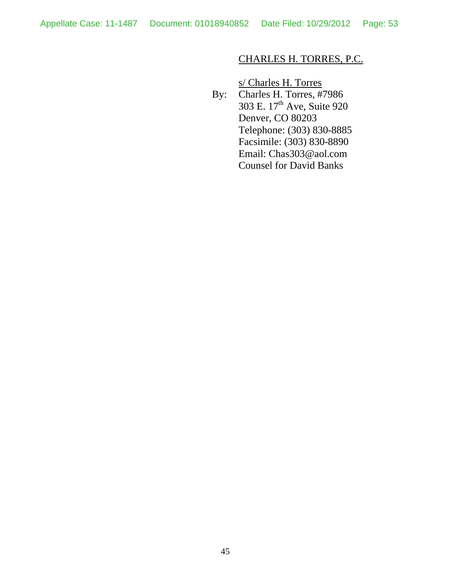# CHARLES H. TORRES, P.C.

s/ Charles H. Torres

By: Charles H. Torres, #7986 303 E. 17<sup>th</sup> Ave, Suite 920 Denver, CO 80203 Telephone: (303) 830-8885 Facsimile: (303) 830-8890 Email: Chas303@aol.com Counsel for David Banks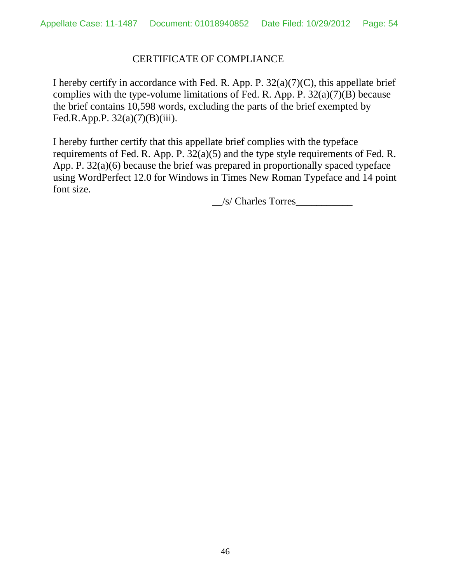# CERTIFICATE OF COMPLIANCE

I hereby certify in accordance with Fed. R. App. P.  $32(a)(7)(C)$ , this appellate brief complies with the type-volume limitations of Fed. R. App. P. 32(a)(7)(B) because the brief contains 10,598 words, excluding the parts of the brief exempted by Fed.R.App.P.  $32(a)(7)(B)(iii)$ .

I hereby further certify that this appellate brief complies with the typeface requirements of Fed. R. App. P. 32(a)(5) and the type style requirements of Fed. R. App. P. 32(a)(6) because the brief was prepared in proportionally spaced typeface using WordPerfect 12.0 for Windows in Times New Roman Typeface and 14 point font size.

 $\angle$ /s/ Charles Torres $\angle$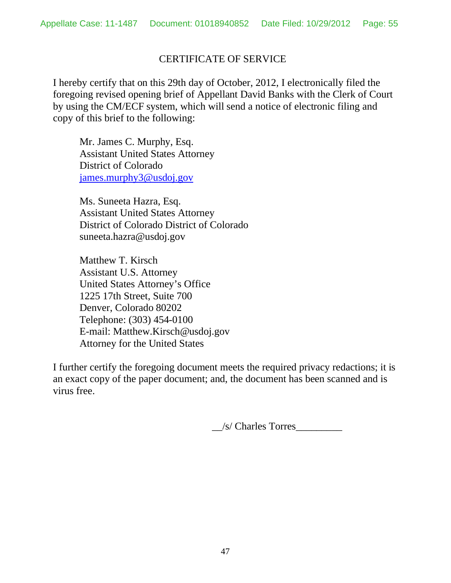### CERTIFICATE OF SERVICE

I hereby certify that on this 29th day of October, 2012, I electronically filed the foregoing revised opening brief of Appellant David Banks with the Clerk of Court by using the CM/ECF system, which will send a notice of electronic filing and copy of this brief to the following:

Mr. James C. Murphy, Esq. Assistant United States Attorney District of Colorado james.murphy3@usdoj.gov

Ms. Suneeta Hazra, Esq. Assistant United States Attorney District of Colorado District of Colorado suneeta.hazra@usdoj.gov

Matthew T. Kirsch Assistant U.S. Attorney United States Attorney's Office 1225 17th Street, Suite 700 Denver, Colorado 80202 Telephone: (303) 454-0100 E-mail: Matthew.Kirsch@usdoj.gov Attorney for the United States

I further certify the foregoing document meets the required privacy redactions; it is an exact copy of the paper document; and, the document has been scanned and is virus free.

\_\_/s/ Charles Torres\_\_\_\_\_\_\_\_\_